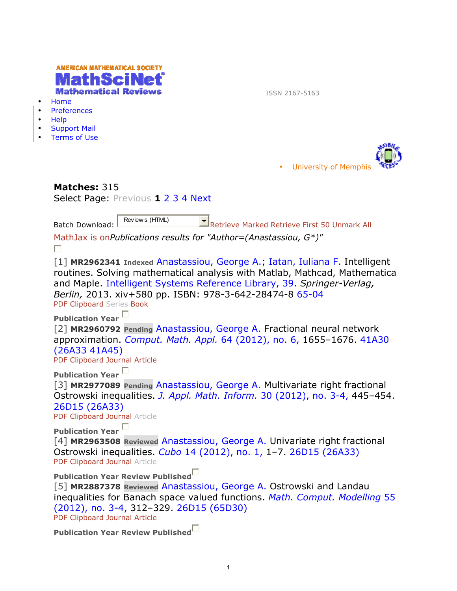| $\bullet$<br>$\bullet$<br>$\bullet$<br>$\bullet$                                                                                                                                                                                       | AMERICAN MATHEMATICAL SOCIETY<br><b>Mathematical Reviews</b><br>ISSN 2167-5163<br>Home<br>Preferences<br>Help<br><b>Support Mail</b><br><b>Terms of Use</b>                                                                                                                                                                |  |  |  |  |  |  |
|----------------------------------------------------------------------------------------------------------------------------------------------------------------------------------------------------------------------------------------|----------------------------------------------------------------------------------------------------------------------------------------------------------------------------------------------------------------------------------------------------------------------------------------------------------------------------|--|--|--|--|--|--|
|                                                                                                                                                                                                                                        | <b>University of Memphis</b>                                                                                                                                                                                                                                                                                               |  |  |  |  |  |  |
| Matches: 315<br>Select Page: Previous 1 2 3 4 Next                                                                                                                                                                                     |                                                                                                                                                                                                                                                                                                                            |  |  |  |  |  |  |
|                                                                                                                                                                                                                                        | Review s (HTML)<br>$\Box$ Retrieve Marked Retrieve First 50 Unmark All<br><b>Batch Download:</b><br>MathJax is onPublications results for "Author=(Anastassiou, $G^*$ )"<br>П                                                                                                                                              |  |  |  |  |  |  |
|                                                                                                                                                                                                                                        | [1] MR2962341 Indexed Anastassiou, George A., Iatan, Iuliana F. Intelligent<br>routines. Solving mathematical analysis with Matlab, Mathcad, Mathematica<br>and Maple. Intelligent Systems Reference Library, 39. Springer-Verlag,<br>Berlin, 2013. xiv+580 pp. ISBN: 978-3-642-28474-8 65-04<br>PDF Clipboard Series Book |  |  |  |  |  |  |
|                                                                                                                                                                                                                                        | Publication Year<br>[2] MR2960792 Pending Anastassiou, George A. Fractional neural network<br>approximation. Comput. Math. Appl. 64 (2012), no. 6, 1655-1676. 41A30<br>(26A33 41A45)<br>PDF Clipboard Journal Article                                                                                                      |  |  |  |  |  |  |
| <b>Publication Year</b><br>[3] MR2977089 Pending Anastassiou, George A. Multivariate right fractional<br>Ostrowski inequalities. J. Appl. Math. Inform. 30 (2012), no. 3-4, 445-454.<br>26D15 (26A33)<br>PDF Clipboard Journal Article |                                                                                                                                                                                                                                                                                                                            |  |  |  |  |  |  |
|                                                                                                                                                                                                                                        | Publication Year $\Box$<br>[4] MR2963508 Reviewed Anastassiou, George A. Univariate right fractional<br>Ostrowski inequalities. Cubo 14 (2012), no. 1, 1-7. 26D15 (26A33)<br>PDF Clipboard Journal Article                                                                                                                 |  |  |  |  |  |  |
|                                                                                                                                                                                                                                        | Publication Year Review Published <sup>[1]</sup><br>[5] MR2887378 Reviewed Anastassiou, George A. Ostrowski and Landau<br>inequalities for Banach space valued functions. Math. Comput. Modelling 55<br>$(2012)$ , no. 3-4, 312-329. 26D15 (65D30)<br>PDF Clipboard Journal Article                                        |  |  |  |  |  |  |
|                                                                                                                                                                                                                                        | Publication Year Review Published                                                                                                                                                                                                                                                                                          |  |  |  |  |  |  |

1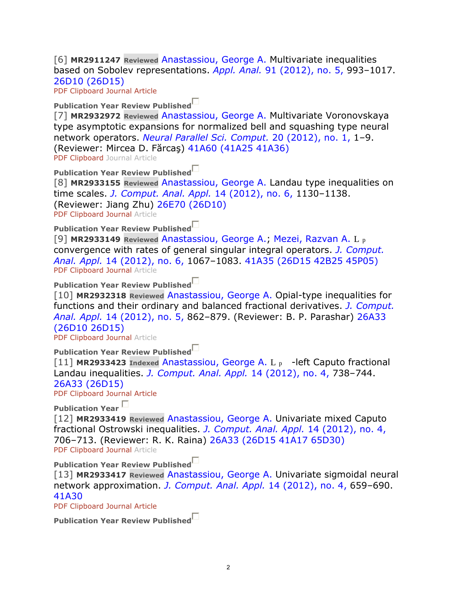[6] **MR2911247 Reviewed** Anastassiou, George A. Multivariate inequalities based on Sobolev representations. *Appl. Anal.* 91 (2012), no. 5, 993–1017. 26D10 (26D15)

PDF Clipboard Journal Article

# **Publication Year Review Published**

[7] **MR2932972 Reviewed** Anastassiou, George A. Multivariate Voronovskaya type asymptotic expansions for normalized bell and squashing type neural network operators. *Neural Parallel Sci. Comput.* 20 (2012), no. 1, 1–9. (Reviewer: Mircea D. Fărcaş) 41A60 (41A25 41A36) PDF Clipboard Journal Article

**Publication Year Review Published**

[8] **MR2933155 Reviewed** Anastassiou, George A. Landau type inequalities on time scales. *J. Comput. Anal. Appl.* 14 (2012), no. 6, 1130–1138. (Reviewer: Jiang Zhu) 26E70 (26D10) PDF Clipboard Journal Article

**Publication Year Review Published**

[9] **MR2933149 Reviewed** Anastassiou, George A.; Mezei, Razvan A. L p convergence with rates of general singular integral operators. *J. Comput. Anal. Appl.* 14 (2012), no. 6, 1067–1083. 41A35 (26D15 42B25 45P05) PDF Clipboard Journal Article

**Publication Year Review Published**

[10] **MR2932318 Reviewed** Anastassiou, George A. Opial-type inequalities for functions and their ordinary and balanced fractional derivatives. *J. Comput. Anal. Appl.* 14 (2012), no. 5, 862–879. (Reviewer: B. P. Parashar) 26A33 (26D10 26D15)

PDF Clipboard Journal Article

**Publication Year Review Published**

[11] **MR2933423 Indexed** Anastassiou, George A. L p -left Caputo fractional Landau inequalities. *J. Comput. Anal. Appl.* 14 (2012), no. 4, 738–744. 26A33 (26D15)

PDF Clipboard Journal Article

**Publication Year** 

[12] **MR2933419 Reviewed** Anastassiou, George A. Univariate mixed Caputo fractional Ostrowski inequalities. *J. Comput. Anal. Appl.* 14 (2012), no. 4, 706–713. (Reviewer: R. K. Raina) 26A33 (26D15 41A17 65D30) PDF Clipboard Journal Article

**Publication Year Review Published**

[13] **MR2933417 Reviewed** Anastassiou, George A. Univariate sigmoidal neural network approximation. *J. Comput. Anal. Appl.* 14 (2012), no. 4, 659–690. 41A30

PDF Clipboard Journal Article

|  |  |  | Publication Year Review Published |
|--|--|--|-----------------------------------|
|--|--|--|-----------------------------------|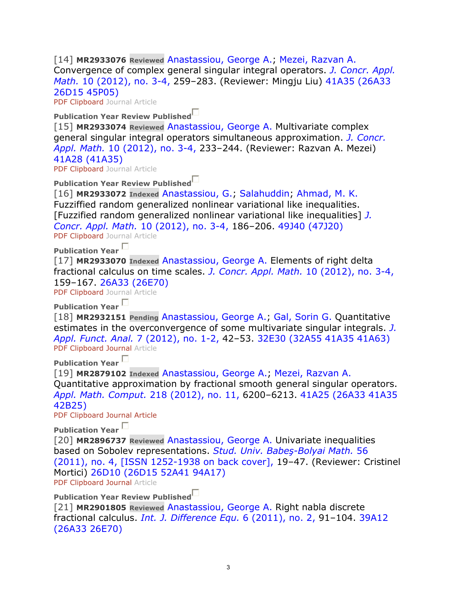[14] **MR2933076 Reviewed** Anastassiou, George A.; Mezei, Razvan A. Convergence of complex general singular integral operators. *J. Concr. Appl. Math.* 10 (2012), no. 3-4, 259–283. (Reviewer: Mingju Liu) 41A35 (26A33 26D15 45P05)

PDF Clipboard Journal Article

**Publication Year Review Published**

[15] **MR2933074 Reviewed** Anastassiou, George A. Multivariate complex general singular integral operators simultaneous approximation. *J. Concr. Appl. Math.* 10 (2012), no. 3-4, 233–244. (Reviewer: Razvan A. Mezei) 41A28 (41A35)

PDF Clipboard Journal Article

**Publication Year Review Published**

[16] **MR2933072 Indexed** Anastassiou, G.; Salahuddin; Ahmad, M. K. Fuzziffied random generalized nonlinear variational like inequalities. [Fuzzified random generalized nonlinear variational like inequalities] *J. Concr. Appl. Math.* 10 (2012), no. 3-4, 186–206. 49J40 (47J20) PDF Clipboard Journal Article

**Publication Year** 

[17] **MR2933070 Indexed** Anastassiou, George A. Elements of right delta fractional calculus on time scales. *J. Concr. Appl. Math.* 10 (2012), no. 3-4, 159–167. 26A33 (26E70)

PDF Clipboard Journal Article

**Publication Year** 

[18] **MR2932151 Pending** Anastassiou, George A.; Gal, Sorin G. Quantitative estimates in the overconvergence of some multivariate singular integrals. *J. Appl. Funct. Anal.* 7 (2012), no. 1-2, 42–53. 32E30 (32A55 41A35 41A63) PDF Clipboard Journal Article

**Publication Year** 

[19] **MR2879102 Indexed** Anastassiou, George A.; Mezei, Razvan A. Quantitative approximation by fractional smooth general singular operators. *Appl. Math. Comput.* 218 (2012), no. 11, 6200–6213. 41A25 (26A33 41A35 42B25)

PDF Clipboard Journal Article

**Publication Year** 

[20] **MR2896737 Reviewed** Anastassiou, George A. Univariate inequalities based on Sobolev representations. *Stud. Univ. Babeş-Bolyai Math.* 56 (2011), no. 4, [ISSN 1252-1938 on back cover], 19–47. (Reviewer: Cristinel Mortici) 26D10 (26D15 52A41 94A17)

PDF Clipboard Journal Article

**Publication Year Review Published**

[21] **MR2901805 Reviewed** Anastassiou, George A. Right nabla discrete fractional calculus. *Int. J. Difference Equ.* 6 (2011), no. 2, 91–104. 39A12 (26A33 26E70)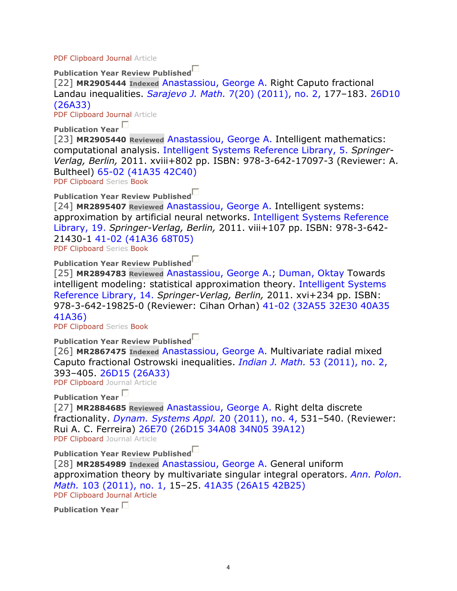#### PDF Clipboard Journal Article

**Publication Year Review Published**

[22] **MR2905444 Indexed** Anastassiou, George A. Right Caputo fractional Landau inequalities. *Sarajevo J. Math.* 7(20) (2011), no. 2, 177–183. 26D10 (26A33)

PDF Clipboard Journal Article

**Publication Year** 

[23] **MR2905440 Reviewed** Anastassiou, George A. Intelligent mathematics: computational analysis. Intelligent Systems Reference Library, 5. *Springer-Verlag, Berlin,* 2011. xviii+802 pp. ISBN: 978-3-642-17097-3 (Reviewer: A. Bultheel) 65-02 (41A35 42C40)

PDF Clipboard Series Book

**Publication Year Review Published**

[24] **MR2895407 Reviewed** Anastassiou, George A. Intelligent systems: approximation by artificial neural networks. Intelligent Systems Reference Library, 19. *Springer-Verlag, Berlin,* 2011. viii+107 pp. ISBN: 978-3-642- 21430-1 41-02 (41A36 68T05)

PDF Clipboard Series Book

**Publication Year Review Published**

[25] **MR2894783 Reviewed** Anastassiou, George A.; Duman, Oktay Towards intelligent modeling: statistical approximation theory. Intelligent Systems Reference Library, 14. *Springer-Verlag, Berlin,* 2011. xvi+234 pp. ISBN: 978-3-642-19825-0 (Reviewer: Cihan Orhan) 41-02 (32A55 32E30 40A35 41A36)

PDF Clipboard Series Book

**Publication Year Review Published**

[26] **MR2867475 Indexed** Anastassiou, George A. Multivariate radial mixed Caputo fractional Ostrowski inequalities. *Indian J. Math.* 53 (2011), no. 2, 393–405. 26D15 (26A33)

PDF Clipboard Journal Article

**Publication Year** 

[27] **MR2884685 Reviewed** Anastassiou, George A. Right delta discrete fractionality. *Dynam. Systems Appl.* 20 (2011), no. 4, 531–540. (Reviewer: Rui A. C. Ferreira) 26E70 (26D15 34A08 34N05 39A12) PDF Clipboard Journal Article

**Publication Year Review Published**

[28] **MR2854989 Indexed** Anastassiou, George A. General uniform approximation theory by multivariate singular integral operators. *Ann. Polon. Math.* 103 (2011), no. 1, 15–25. 41A35 (26A15 42B25) PDF Clipboard Journal Article

**Publication Year**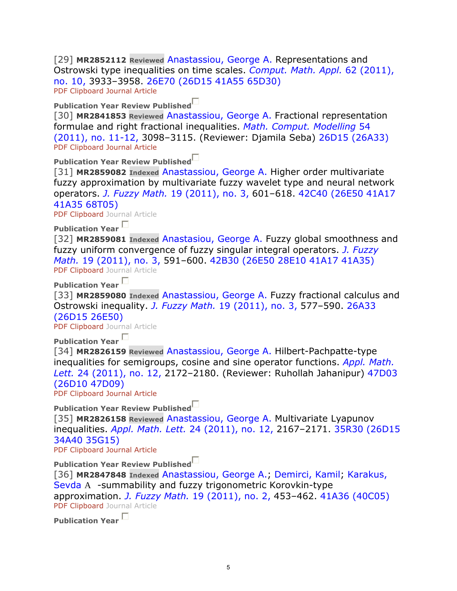[29] **MR2852112 Reviewed** Anastassiou, George A. Representations and Ostrowski type inequalities on time scales. *Comput. Math. Appl.* 62 (2011), no. 10, 3933–3958. 26E70 (26D15 41A55 65D30) PDF Clipboard Journal Article

#### **Publication Year Review Published**

[30] **MR2841853 Reviewed** Anastassiou, George A. Fractional representation formulae and right fractional inequalities. *Math. Comput. Modelling* 54 (2011), no. 11-12, 3098–3115. (Reviewer: Djamila Seba) 26D15 (26A33) PDF Clipboard Journal Article

**Publication Year Review Published**

[31] **MR2859082 Indexed** Anastassiou, George A. Higher order multivariate fuzzy approximation by multivariate fuzzy wavelet type and neural network operators. *J. Fuzzy Math.* 19 (2011), no. 3, 601–618. 42C40 (26E50 41A17 41A35 68T05)

PDF Clipboard Journal Article

**Publication Year** 

[32] MR2859081 *Indexed Anastasiou, George A. Fuzzy global smoothness and* fuzzy uniform convergence of fuzzy singular integral operators. *J. Fuzzy Math.* 19 (2011), no. 3, 591–600. 42B30 (26E50 28E10 41A17 41A35) PDF Clipboard Journal Article

**Publication Year** 

[33] **MR2859080 Indexed** Anastassiou, George A. Fuzzy fractional calculus and Ostrowski inequality. *J. Fuzzy Math.* 19 (2011), no. 3, 577–590. 26A33 (26D15 26E50)

PDF Clipboard Journal Article

**Publication Year** 

[34] **MR2826159 Reviewed** Anastassiou, George A. Hilbert-Pachpatte-type inequalities for semigroups, cosine and sine operator functions. *Appl. Math. Lett.* 24 (2011), no. 12, 2172–2180. (Reviewer: Ruhollah Jahanipur) 47D03 (26D10 47D09)

PDF Clipboard Journal Article

**Publication Year Review Published**

[35] **MR2826158 Reviewed** Anastassiou, George A. Multivariate Lyapunov inequalities. *Appl. Math. Lett.* 24 (2011), no. 12, 2167–2171. 35R30 (26D15 34A40 35G15)

PDF Clipboard Journal Article

**Publication Year Review Published**

[36] **MR2847848 Indexed** Anastassiou, George A.; Demirci, Kamil; Karakus, Sevda A -summability and fuzzy trigonometric Korovkin-type approximation. *J. Fuzzy Math.* 19 (2011), no. 2, 453–462. 41A36 (40C05) PDF Clipboard Journal Article

**Publication Year**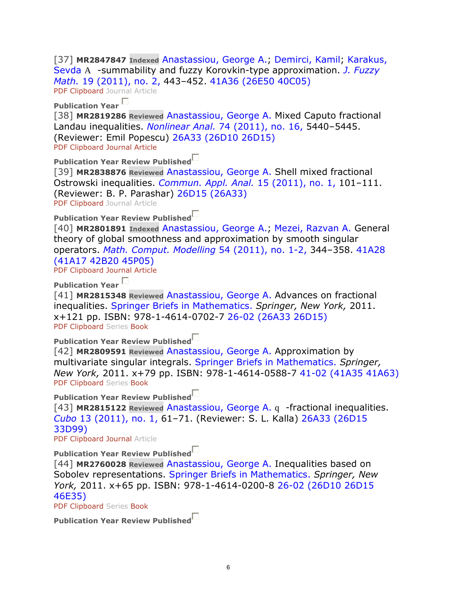[37] **MR2847847 Indexed** Anastassiou, George A.; Demirci, Kamil; Karakus, Sevda A -summability and fuzzy Korovkin-type approximation. *J. Fuzzy Math.* 19 (2011), no. 2, 443–452. 41A36 (26E50 40C05)

PDF Clipboard Journal Article

**Publication Year** 

[38] **MR2819286 Reviewed** Anastassiou, George A. Mixed Caputo fractional Landau inequalities. *Nonlinear Anal.* 74 (2011), no. 16, 5440–5445. (Reviewer: Emil Popescu) 26A33 (26D10 26D15) PDF Clipboard Journal Article

**Publication Year Review Published**

[39] **MR2838876 Reviewed** Anastassiou, George A. Shell mixed fractional Ostrowski inequalities. *Commun. Appl. Anal.* 15 (2011), no. 1, 101–111. (Reviewer: B. P. Parashar) 26D15 (26A33)

PDF Clipboard Journal Article

**Publication Year Review Published**

[40] **MR2801891 Indexed** Anastassiou, George A.; Mezei, Razvan A. General theory of global smoothness and approximation by smooth singular operators. *Math. Comput. Modelling* 54 (2011), no. 1-2, 344–358. 41A28 (41A17 42B20 45P05)

PDF Clipboard Journal Article

**Publication Year** 

[41] **MR2815348 Reviewed** Anastassiou, George A. Advances on fractional inequalities. Springer Briefs in Mathematics. *Springer, New York,* 2011. x+121 pp. ISBN: 978-1-4614-0702-7 26-02 (26A33 26D15) PDF Clipboard Series Book

**Publication Year Review Published**

[42] **MR2809591 Reviewed** Anastassiou, George A. Approximation by multivariate singular integrals. Springer Briefs in Mathematics. *Springer, New York,* 2011. x+79 pp. ISBN: 978-1-4614-0588-7 41-02 (41A35 41A63) PDF Clipboard Series Book

**Publication Year Review Published**

[43] **MR2815122 Reviewed** Anastassiou, George A. q -fractional inequalities. *Cubo* 13 (2011), no. 1, 61–71. (Reviewer: S. L. Kalla) 26A33 (26D15 33D99)

PDF Clipboard Journal Article

**Publication Year Review Published**

[44] **MR2760028 Reviewed** Anastassiou, George A. Inequalities based on Sobolev representations. Springer Briefs in Mathematics. *Springer, New York,* 2011. x+65 pp. ISBN: 978-1-4614-0200-8 26-02 (26D10 26D15 46E35)

PDF Clipboard Series Book

|  |  |  | Publication Year Review Published |
|--|--|--|-----------------------------------|
|--|--|--|-----------------------------------|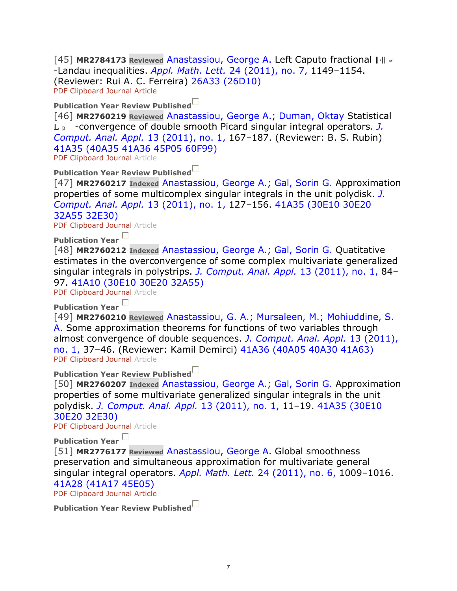[45] **MR2784173 Reviewed** Anastassiou, George A. Left Caputo fractional ∥⋅∥ <sup>∞</sup> -Landau inequalities. *Appl. Math. Lett.* 24 (2011), no. 7, 1149–1154. (Reviewer: Rui A. C. Ferreira) 26A33 (26D10) PDF Clipboard Journal Article

# **Publication Year Review Published**

[46] **MR2760219 Reviewed** Anastassiou, George A.; Duman, Oktay Statistical L p -convergence of double smooth Picard singular integral operators. *J. Comput. Anal. Appl.* 13 (2011), no. 1, 167–187. (Reviewer: B. S. Rubin) 41A35 (40A35 41A36 45P05 60F99)

PDF Clipboard Journal Article

## **Publication Year Review Published**

[47] **MR2760217 Indexed** Anastassiou, George A.; Gal, Sorin G. Approximation properties of some multicomplex singular integrals in the unit polydisk. *J. Comput. Anal. Appl.* 13 (2011), no. 1, 127–156. 41A35 (30E10 30E20 32A55 32E30)

PDF Clipboard Journal Article

**Publication Year** 

[48] **MR2760212 Indexed** Anastassiou, George A.; Gal, Sorin G. Quatitative estimates in the overconvergence of some complex multivariate generalized singular integrals in polystrips. *J. Comput. Anal. Appl.* 13 (2011), no. 1, 84– 97. 41A10 (30E10 30E20 32A55)

PDF Clipboard Journal Article

**Publication Year** 

[49] **MR2760210 Reviewed** Anastassiou, G. A.; Mursaleen, M.; Mohiuddine, S. A. Some approximation theorems for functions of two variables through almost convergence of double sequences. *J. Comput. Anal. Appl.* 13 (2011), no. 1, 37–46. (Reviewer: Kamil Demirci) 41A36 (40A05 40A30 41A63) PDF Clipboard Journal Article

**Publication Year Review Published**

[50] **MR2760207 Indexed** Anastassiou, George A.; Gal, Sorin G. Approximation properties of some multivariate generalized singular integrals in the unit polydisk. *J. Comput. Anal. Appl.* 13 (2011), no. 1, 11–19. 41A35 (30E10 30E20 32E30)

PDF Clipboard Journal Article

**Publication Year** 

[51] **MR2776177 Reviewed** Anastassiou, George A. Global smoothness preservation and simultaneous approximation for multivariate general singular integral operators. *Appl. Math. Lett.* 24 (2011), no. 6, 1009–1016. 41A28 (41A17 45E05)

PDF Clipboard Journal Article

**Publication Year Review Published**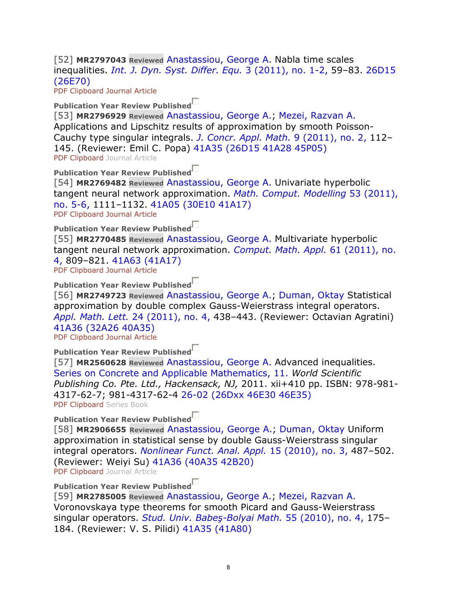[52] **MR2797043 Reviewed** Anastassiou, George A. Nabla time scales inequalities. *Int. J. Dyn. Syst. Differ. Equ.* 3 (2011), no. 1-2, 59–83. 26D15 (26E70)

PDF Clipboard Journal Article

**Publication Year Review Published**

[53] **MR2796929 Reviewed** Anastassiou, George A.; Mezei, Razvan A. Applications and Lipschitz results of approximation by smooth Poisson-Cauchy type singular integrals. *J. Concr. Appl. Math.* 9 (2011), no. 2, 112– 145. (Reviewer: Emil C. Popa) 41A35 (26D15 41A28 45P05) PDF Clipboard Journal Article

**Publication Year Review Published**

[54] **MR2769482 Reviewed** Anastassiou, George A. Univariate hyperbolic tangent neural network approximation. *Math. Comput. Modelling* 53 (2011), no. 5-6, 1111–1132. 41A05 (30E10 41A17)

PDF Clipboard Journal Article

**Publication Year Review Published**

[55] **MR2770485 Reviewed** Anastassiou, George A. Multivariate hyperbolic tangent neural network approximation. *Comput. Math. Appl.* 61 (2011), no. 4, 809–821. 41A63 (41A17)

PDF Clipboard Journal Article

**Publication Year Review Published**

[56] **MR2749723 Reviewed** Anastassiou, George A.; Duman, Oktay Statistical approximation by double complex Gauss-Weierstrass integral operators. *Appl. Math. Lett.* 24 (2011), no. 4, 438–443. (Reviewer: Octavian Agratini) 41A36 (32A26 40A35)

PDF Clipboard Journal Article

**Publication Year Review Published**

[57] **MR2560628 Reviewed** Anastassiou, George A. Advanced inequalities. Series on Concrete and Applicable Mathematics, 11. *World Scientific Publishing Co. Pte. Ltd., Hackensack, NJ,* 2011. xii+410 pp. ISBN: 978-981- 4317-62-7; 981-4317-62-4 26-02 (26Dxx 46E30 46E35) PDF Clipboard Series Book

**Publication Year Review Published**

[58] **MR2906655 Reviewed** Anastassiou, George A.; Duman, Oktay Uniform approximation in statistical sense by double Gauss-Weierstrass singular integral operators. *Nonlinear Funct. Anal. Appl.* 15 (2010), no. 3, 487–502. (Reviewer: Weiyi Su) 41A36 (40A35 42B20) PDF Clipboard Journal Article

# **Publication Year Review Published**

[59] **MR2785005 Reviewed** Anastassiou, George A.; Mezei, Razvan A. Voronovskaya type theorems for smooth Picard and Gauss-Weierstrass singular operators. *Stud. Univ. Babeş-Bolyai Math.* 55 (2010), no. 4, 175– 184. (Reviewer: V. S. Pilidi) 41A35 (41A80)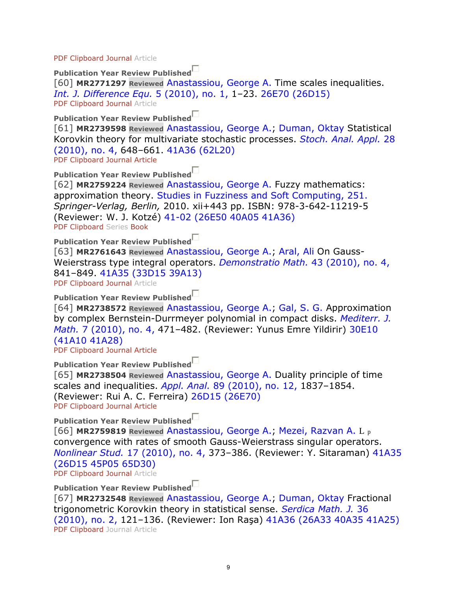PDF Clipboard Journal Article

**Publication Year Review Published**

[60] **MR2771297 Reviewed** Anastassiou, George A. Time scales inequalities. *Int. J. Difference Equ.* 5 (2010), no. 1, 1–23. 26E70 (26D15) PDF Clipboard Journal Article

**Publication Year Review Published**

[61] **MR2739598 Reviewed** Anastassiou, George A.; Duman, Oktay Statistical Korovkin theory for multivariate stochastic processes. *Stoch. Anal. Appl.* 28 (2010), no. 4, 648–661. 41A36 (62L20) PDF Clipboard Journal Article

**Publication Year Review Published**

[62] **MR2759224 Reviewed** Anastassiou, George A. Fuzzy mathematics: approximation theory. Studies in Fuzziness and Soft Computing, 251. *Springer-Verlag, Berlin,* 2010. xii+443 pp. ISBN: 978-3-642-11219-5 (Reviewer: W. J. Kotzé) 41-02 (26E50 40A05 41A36) PDF Clipboard Series Book

**Publication Year Review Published**

[63] **MR2761643 Reviewed** Anastassiou, George A.; Aral, Ali On Gauss-Weierstrass type integral operators. *Demonstratio Math.* 43 (2010), no. 4, 841–849. 41A35 (33D15 39A13) PDF Clipboard Journal Article

**Publication Year Review Published**

[64] **MR2738572 Reviewed** Anastassiou, George A.; Gal, S. G. Approximation by complex Bernstein-Durrmeyer polynomial in compact disks. *Mediterr. J. Math.* 7 (2010), no. 4, 471–482. (Reviewer: Yunus Emre Yildirir) 30E10 (41A10 41A28)

PDF Clipboard Journal Article

**Publication Year Review Published** [65] **MR2738504 Reviewed** Anastassiou, George A. Duality principle of time scales and inequalities. *Appl. Anal.* 89 (2010), no. 12, 1837–1854. (Reviewer: Rui A. C. Ferreira) 26D15 (26E70) PDF Clipboard Journal Article

**Publication Year Review Published**

[66] **MR2759819 Reviewed** Anastassiou, George A.; Mezei, Razvan A. L p convergence with rates of smooth Gauss-Weierstrass singular operators. *Nonlinear Stud.* 17 (2010), no. 4, 373–386. (Reviewer: Y. Sitaraman) 41A35 (26D15 45P05 65D30) PDF Clipboard Journal Article

**Publication Year Review Published**

[67] **MR2732548 Reviewed** Anastassiou, George A.; Duman, Oktay Fractional trigonometric Korovkin theory in statistical sense. *Serdica Math. J.* 36 (2010), no. 2, 121–136. (Reviewer: Ion Raşa) 41A36 (26A33 40A35 41A25) PDF Clipboard Journal Article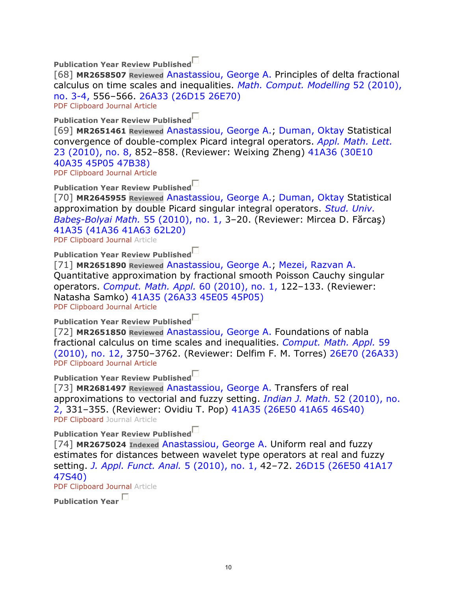**Publication Year Review Published**

[68] **MR2658507 Reviewed** Anastassiou, George A. Principles of delta fractional calculus on time scales and inequalities. *Math. Comput. Modelling* 52 (2010), no. 3-4, 556–566. 26A33 (26D15 26E70)

PDF Clipboard Journal Article

**Publication Year Review Published**

[69] **MR2651461 Reviewed** Anastassiou, George A.; Duman, Oktay Statistical convergence of double-complex Picard integral operators. *Appl. Math. Lett.* 23 (2010), no. 8, 852–858. (Reviewer: Weixing Zheng) 41A36 (30E10 40A35 45P05 47B38)

PDF Clipboard Journal Article

**Publication Year Review Published**

[70] **MR2645955 Reviewed** Anastassiou, George A.; Duman, Oktay Statistical approximation by double Picard singular integral operators. *Stud. Univ. Babeş-Bolyai Math.* 55 (2010), no. 1, 3–20. (Reviewer: Mircea D. Fărcaş) 41A35 (41A36 41A63 62L20)

PDF Clipboard Journal Article

**Publication Year Review Published**

[71] **MR2651890 Reviewed** Anastassiou, George A.; Mezei, Razvan A. Quantitative approximation by fractional smooth Poisson Cauchy singular operators. *Comput. Math. Appl.* 60 (2010), no. 1, 122–133. (Reviewer: Natasha Samko) 41A35 (26A33 45E05 45P05) PDF Clipboard Journal Article

**Publication Year Review Published**

[72] **MR2651850 Reviewed** Anastassiou, George A. Foundations of nabla fractional calculus on time scales and inequalities. *Comput. Math. Appl.* 59 (2010), no. 12, 3750–3762. (Reviewer: Delfim F. M. Torres) 26E70 (26A33) PDF Clipboard Journal Article

**Publication Year Review Published**

[73] **MR2681497 Reviewed** Anastassiou, George A. Transfers of real approximations to vectorial and fuzzy setting. *Indian J. Math.* 52 (2010), no. 2, 331–355. (Reviewer: Ovidiu T. Pop) 41A35 (26E50 41A65 46S40) PDF Clipboard Journal Article

**Publication Year Review Published**

[74] **MR2675024 Indexed** Anastassiou, George A. Uniform real and fuzzy estimates for distances between wavelet type operators at real and fuzzy setting. *J. Appl. Funct. Anal.* 5 (2010), no. 1, 42–72. 26D15 (26E50 41A17 47S40)

PDF Clipboard Journal Article

**Publication Year**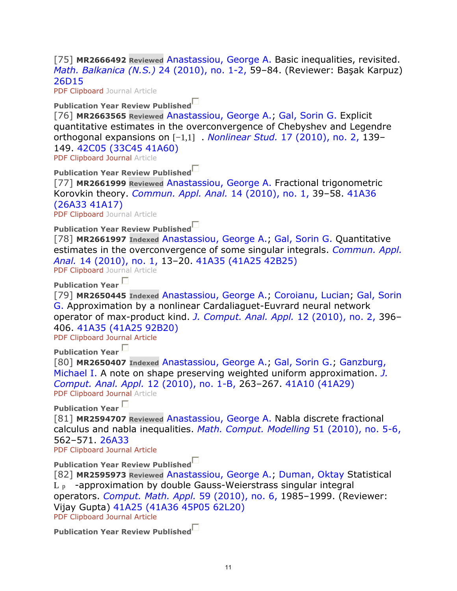[75] **MR2666492 Reviewed** Anastassiou, George A. Basic inequalities, revisited. *Math. Balkanica (N.S.)* 24 (2010), no. 1-2, 59–84. (Reviewer: Başak Karpuz) 26D15

PDF Clipboard Journal Article

### **Publication Year Review Published**

[76] **MR2663565 Reviewed** Anastassiou, George A.; Gal, Sorin G. Explicit quantitative estimates in the overconvergence of Chebyshev and Legendre orthogonal expansions on [−1,1] . *Nonlinear Stud.* 17 (2010), no. 2, 139– 149. 42C05 (33C45 41A60)

PDF Clipboard Journal Article

**Publication Year Review Published**

[77] **MR2661999 Reviewed** Anastassiou, George A. Fractional trigonometric Korovkin theory. *Commun. Appl. Anal.* 14 (2010), no. 1, 39–58. 41A36 (26A33 41A17)

PDF Clipboard Journal Article

**Publication Year Review Published**

[78] **MR2661997 Indexed** Anastassiou, George A.; Gal, Sorin G. Quantitative estimates in the overconvergence of some singular integrals. *Commun. Appl. Anal.* 14 (2010), no. 1, 13–20. 41A35 (41A25 42B25)

PDF Clipboard Journal Article

**Publication Year** 

[79] **MR2650445 Indexed** Anastassiou, George A.; Coroianu, Lucian; Gal, Sorin G. Approximation by a nonlinear Cardaliaguet-Euvrard neural network operator of max-product kind. *J. Comput. Anal. Appl.* 12 (2010), no. 2, 396– 406. 41A35 (41A25 92B20)

PDF Clipboard Journal Article

**Publication Year** 

[80] **MR2650407 Indexed** Anastassiou, George A.; Gal, Sorin G.; Ganzburg, Michael I. A note on shape preserving weighted uniform approximation. *J. Comput. Anal. Appl.* 12 (2010), no. 1-B, 263–267. 41A10 (41A29) PDF Clipboard Journal Article

**Publication Year** 

[81] **MR2594707 Reviewed** Anastassiou, George A. Nabla discrete fractional calculus and nabla inequalities. *Math. Comput. Modelling* 51 (2010), no. 5-6, 562–571. 26A33

PDF Clipboard Journal Article

**Publication Year Review Published**

[82] **MR2595973 Reviewed** Anastassiou, George A.; Duman, Oktay Statistical  $L_{p}$  -approximation by double Gauss-Weierstrass singular integral operators. *Comput. Math. Appl.* 59 (2010), no. 6, 1985–1999. (Reviewer: Vijay Gupta) 41A25 (41A36 45P05 62L20) PDF Clipboard Journal Article

**Publication Year Review Published**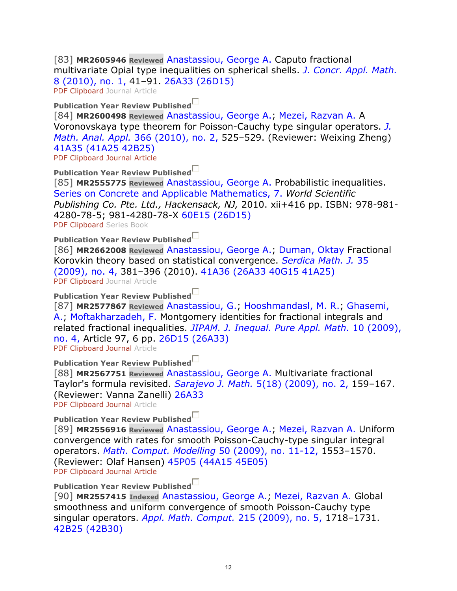[83] **MR2605946 Reviewed** Anastassiou, George A. Caputo fractional multivariate Opial type inequalities on spherical shells. *J. Concr. Appl. Math.* 8 (2010), no. 1, 41–91. 26A33 (26D15) PDF Clipboard Journal Article

### **Publication Year Review Published**

[84] **MR2600498 Reviewed** Anastassiou, George A.; Mezei, Razvan A. A Voronovskaya type theorem for Poisson-Cauchy type singular operators. *J. Math. Anal. Appl.* 366 (2010), no. 2, 525–529. (Reviewer: Weixing Zheng) 41A35 (41A25 42B25)

PDF Clipboard Journal Article

### **Publication Year Review Published**

[85] **MR2555775 Reviewed** Anastassiou, George A. Probabilistic inequalities. Series on Concrete and Applicable Mathematics, 7. *World Scientific Publishing Co. Pte. Ltd., Hackensack, NJ,* 2010. xii+416 pp. ISBN: 978-981- 4280-78-5; 981-4280-78-X 60E15 (26D15) PDF Clipboard Series Book

### **Publication Year Review Published**

[86] **MR2662008 Reviewed** Anastassiou, George A.; Duman, Oktay Fractional Korovkin theory based on statistical convergence. *Serdica Math. J.* 35 (2009), no. 4, 381–396 (2010). 41A36 (26A33 40G15 41A25) PDF Clipboard Journal Article

# **Publication Year Review Published**

[87] **MR2577867 Reviewed** Anastassiou, G.; Hooshmandasl, M. R.; Ghasemi, A.; Moftakharzadeh, F. Montgomery identities for fractional integrals and related fractional inequalities. *JIPAM. J. Inequal. Pure Appl. Math.* 10 (2009), no. 4, Article 97, 6 pp. 26D15 (26A33)

PDF Clipboard Journal Article

### **Publication Year Review Published**

[88] **MR2567751 Reviewed** Anastassiou, George A. Multivariate fractional Taylor's formula revisited. *Sarajevo J. Math.* 5(18) (2009), no. 2, 159–167. (Reviewer: Vanna Zanelli) 26A33 PDF Clipboard Journal Article

# **Publication Year Review Published**

[89] **MR2556916 Reviewed** Anastassiou, George A.; Mezei, Razvan A. Uniform convergence with rates for smooth Poisson-Cauchy-type singular integral operators. *Math. Comput. Modelling* 50 (2009), no. 11-12, 1553–1570. (Reviewer: Olaf Hansen) 45P05 (44A15 45E05) PDF Clipboard Journal Article

# **Publication Year Review Published**

[90] **MR2557415 Indexed** Anastassiou, George A.; Mezei, Razvan A. Global smoothness and uniform convergence of smooth Poisson-Cauchy type singular operators. *Appl. Math. Comput.* 215 (2009), no. 5, 1718–1731. 42B25 (42B30)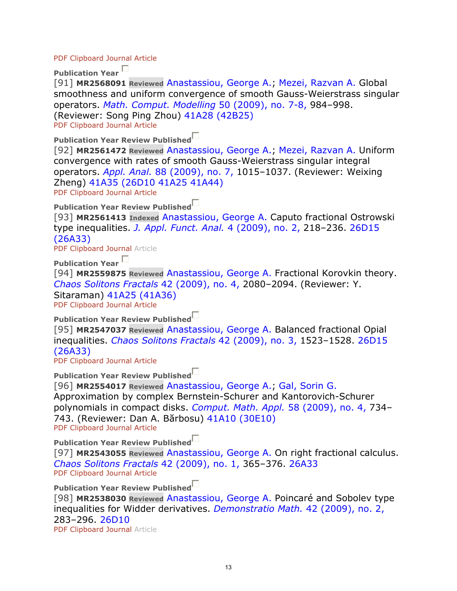#### PDF Clipboard Journal Article

**Publication Year** 

[91] **MR2568091 Reviewed** Anastassiou, George A.; Mezei, Razvan A. Global smoothness and uniform convergence of smooth Gauss-Weierstrass singular operators. *Math. Comput. Modelling* 50 (2009), no. 7-8, 984–998. (Reviewer: Song Ping Zhou) 41A28 (42B25) PDF Clipboard Journal Article

**Publication Year Review Published**

[92] **MR2561472 Reviewed** Anastassiou, George A.; Mezei, Razvan A. Uniform convergence with rates of smooth Gauss-Weierstrass singular integral operators. *Appl. Anal.* 88 (2009), no. 7, 1015–1037. (Reviewer: Weixing Zheng) 41A35 (26D10 41A25 41A44) PDF Clipboard Journal Article

**Publication Year Review Published**

[93] **MR2561413 Indexed** Anastassiou, George A. Caputo fractional Ostrowski type inequalities. *J. Appl. Funct. Anal.* 4 (2009), no. 2, 218–236. 26D15 (26A33)

PDF Clipboard Journal Article

**Publication Year** 

[94] **MR2559875 Reviewed** Anastassiou, George A. Fractional Korovkin theory. *Chaos Solitons Fractals* 42 (2009), no. 4, 2080–2094. (Reviewer: Y. Sitaraman) 41A25 (41A36) PDF Clipboard Journal Article

**Publication Year Review Published**

[95] **MR2547037 Reviewed** Anastassiou, George A. Balanced fractional Opial inequalities. *Chaos Solitons Fractals* 42 (2009), no. 3, 1523–1528. 26D15 (26A33)

PDF Clipboard Journal Article

**Publication Year Review Published**

[96] **MR2554017 Reviewed** Anastassiou, George A.; Gal, Sorin G. Approximation by complex Bernstein-Schurer and Kantorovich-Schurer polynomials in compact disks. *Comput. Math. Appl.* 58 (2009), no. 4, 734– 743. (Reviewer: Dan A. Bărbosu) 41A10 (30E10) PDF Clipboard Journal Article

**Publication Year Review Published**

[97] **MR2543055 Reviewed** Anastassiou, George A. On right fractional calculus. *Chaos Solitons Fractals* 42 (2009), no. 1, 365–376. 26A33 PDF Clipboard Journal Article

**Publication Year Review Published**

[98] **MR2538030 Reviewed** Anastassiou, George A. Poincaré and Sobolev type inequalities for Widder derivatives. *Demonstratio Math.* 42 (2009), no. 2, 283–296. 26D10 PDF Clipboard Journal Article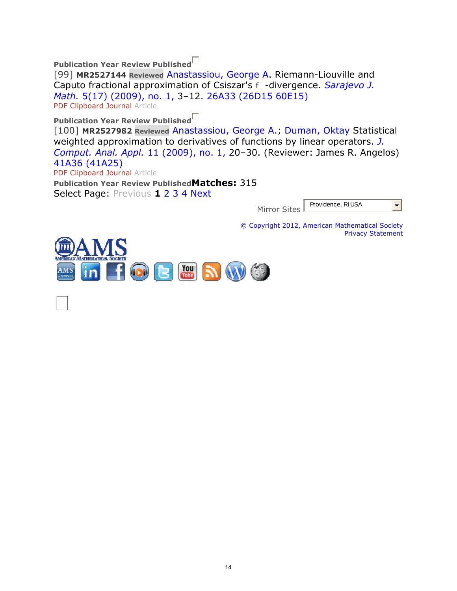**Publication Year Review Published**

[99] **MR2527144 Reviewed** Anastassiou, George A. Riemann-Liouville and Caputo fractional approximation of Csiszar's f -divergence. *Sarajevo J. Math.* 5(17) (2009), no. 1, 3–12. 26A33 (26D15 60E15) PDF Clipboard Journal Article

**Publication Year Review Published**

[100] **MR2527982 Reviewed** Anastassiou, George A.; Duman, Oktay Statistical weighted approximation to derivatives of functions by linear operators. *J. Comput. Anal. Appl.* 11 (2009), no. 1, 20–30. (Reviewer: James R. Angelos) 41A36 (41A25) PDF Clipboard Journal Article

**Publication Year Review PublishedMatches:** 315 Select Page: Previous **1** 2 3 4 Next

> Providence, RI USA  $\left| \frac{1}{2} \right|$ Mirror Sites

© Copyright 2012, American Mathematical Society Privacy Statement

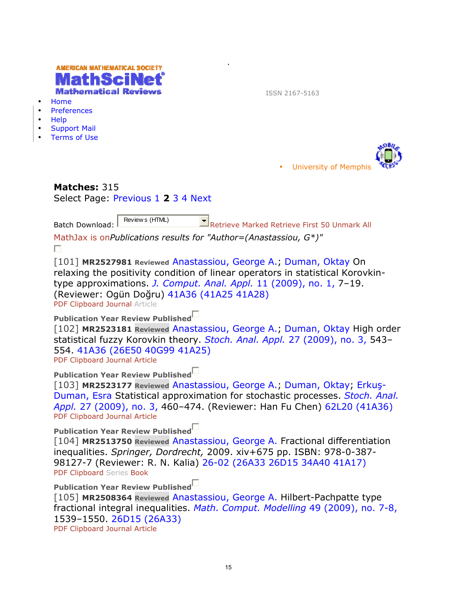| $\bullet$<br>$\bullet$<br>$\bullet$<br>$\bullet$                                                                                                                                                                                                                                                         | AMERICAN MATHEMATICAL SOCIETY<br>athematical Reviews<br>Home<br>Preferences<br>Help<br><b>Support Mail</b><br><b>Terms of Use</b> | ISSN 2167-5163                                                                                                                                                                                                                  |  |  |  |  |
|----------------------------------------------------------------------------------------------------------------------------------------------------------------------------------------------------------------------------------------------------------------------------------------------------------|-----------------------------------------------------------------------------------------------------------------------------------|---------------------------------------------------------------------------------------------------------------------------------------------------------------------------------------------------------------------------------|--|--|--|--|
|                                                                                                                                                                                                                                                                                                          |                                                                                                                                   | <b>University of Memphis</b>                                                                                                                                                                                                    |  |  |  |  |
|                                                                                                                                                                                                                                                                                                          | Matches: 315<br>Select Page: Previous 1 2 3 4 Next                                                                                |                                                                                                                                                                                                                                 |  |  |  |  |
|                                                                                                                                                                                                                                                                                                          | Review s (HTML)<br><b>Batch Download:</b><br>MathJax is onPublications results for "Author=(Anastassiou, $G^*$ )"<br>П            | $\Box$ Retrieve Marked Retrieve First 50 Unmark All                                                                                                                                                                             |  |  |  |  |
| [101] MR2527981 Reviewed Anastassiou, George A.; Duman, Oktay On<br>relaxing the positivity condition of linear operators in statistical Korovkin-<br>type approximations. J. Comput. Anal. Appl. 11 (2009), no. 1, 7-19.<br>(Reviewer: Ogün Doğru) 41A36 (41A25 41A28)<br>PDF Clipboard Journal Article |                                                                                                                                   |                                                                                                                                                                                                                                 |  |  |  |  |
|                                                                                                                                                                                                                                                                                                          | Publication Year Review Published<br>554. 41A36 (26E50 40G99 41A25)<br>PDF Clipboard Journal Article                              | [102] MR2523181 Reviewed Anastassiou, George A., Duman, Oktay High order<br>statistical fuzzy Korovkin theory. Stoch. Anal. Appl. 27 (2009), no. 3, 543-                                                                        |  |  |  |  |
|                                                                                                                                                                                                                                                                                                          | <b>Publication Year Review Published</b><br>PDF Clipboard Journal Article                                                         | [103] MR2523177 Reviewed Anastassiou, George A., Duman, Oktay, Erkuş-<br>Duman, Esra Statistical approximation for stochastic processes. Stoch. Anal.<br>Appl. 27 (2009), no. 3, 460-474. (Reviewer: Han Fu Chen) 62L20 (41A36) |  |  |  |  |
|                                                                                                                                                                                                                                                                                                          | Publication Year Review Published<br>PDF Clipboard Series Book                                                                    | [104] MR2513750 Reviewed Anastassiou, George A. Fractional differentiation<br>inequalities. Springer, Dordrecht, 2009. xiv+675 pp. ISBN: 978-0-387-<br>98127-7 (Reviewer: R. N. Kalia) 26-02 (26A33 26D15 34A40 41A17)          |  |  |  |  |
|                                                                                                                                                                                                                                                                                                          | Publication Year Review Published<br>1539-1550. 26D15 (26A33)<br>PDF Clipboard Journal Article                                    | [105] MR2508364 Reviewed Anastassiou, George A. Hilbert-Pachpatte type<br>fractional integral inequalities. Math. Comput. Modelling 49 (2009), no. 7-8,                                                                         |  |  |  |  |
|                                                                                                                                                                                                                                                                                                          |                                                                                                                                   |                                                                                                                                                                                                                                 |  |  |  |  |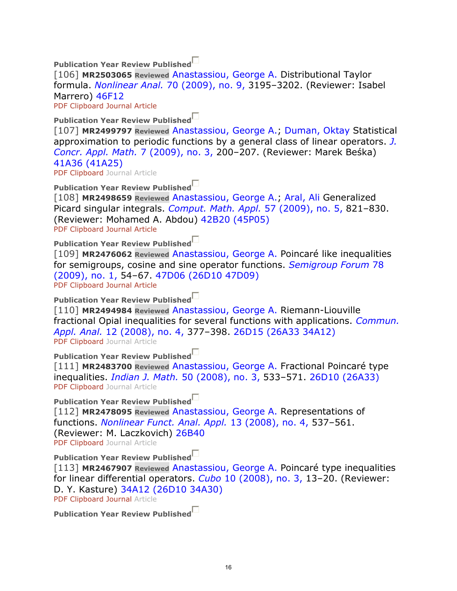**Publication Year Review Published**

[106] **MR2503065 Reviewed** Anastassiou, George A. Distributional Taylor formula. *Nonlinear Anal.* 70 (2009), no. 9, 3195–3202. (Reviewer: Isabel Marrero) 46F12

PDF Clipboard Journal Article

**Publication Year Review Published**

[107] **MR2499797 Reviewed** Anastassiou, George A.; Duman, Oktay Statistical approximation to periodic functions by a general class of linear operators. *J. Concr. Appl. Math.* 7 (2009), no. 3, 200–207. (Reviewer: Marek Beśka) 41A36 (41A25)

PDF Clipboard Journal Article

**Publication Year Review Published**

[108] **MR2498659 Reviewed** Anastassiou, George A.; Aral, Ali Generalized Picard singular integrals. *Comput. Math. Appl.* 57 (2009), no. 5, 821–830. (Reviewer: Mohamed A. Abdou) 42B20 (45P05) PDF Clipboard Journal Article

**Publication Year Review Published** [109] **MR2476062 Reviewed** Anastassiou, George A. Poincaré like inequalities for semigroups, cosine and sine operator functions. *Semigroup Forum* 78 (2009), no. 1, 54–67. 47D06 (26D10 47D09)

PDF Clipboard Journal Article

**Publication Year Review Published**

[110] **MR2494984 Reviewed** Anastassiou, George A. Riemann-Liouville fractional Opial inequalities for several functions with applications. *Commun. Appl. Anal.* 12 (2008), no. 4, 377–398. 26D15 (26A33 34A12) PDF Clipboard Journal Article

**Publication Year Review Published**

[111] **MR2483700 Reviewed** Anastassiou, George A. Fractional Poincaré type inequalities. *Indian J. Math.* 50 (2008), no. 3, 533–571. 26D10 (26A33) PDF Clipboard Journal Article

**Publication Year Review Published**

[112] **MR2478095 Reviewed** Anastassiou, George A. Representations of functions. *Nonlinear Funct. Anal. Appl.* 13 (2008), no. 4, 537–561. (Reviewer: M. Laczkovich) 26B40 PDF Clipboard Journal Article

**Publication Year Review Published**

[113] **MR2467907 Reviewed** Anastassiou, George A. Poincaré type inequalities for linear differential operators. *Cubo* 10 (2008), no. 3, 13–20. (Reviewer: D. Y. Kasture) 34A12 (26D10 34A30)

PDF Clipboard Journal Article

**Publication Year Review Published**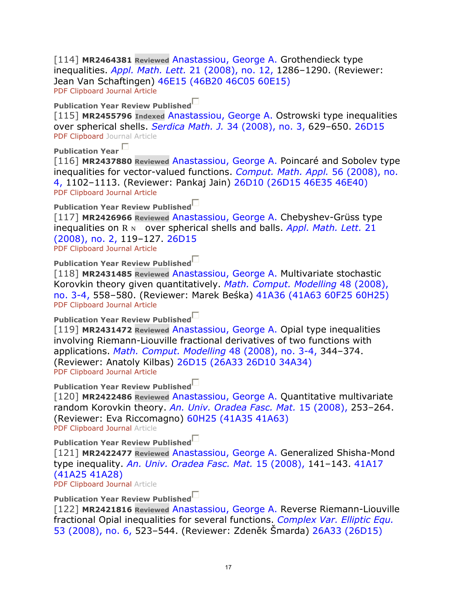[114] **MR2464381 Reviewed** Anastassiou, George A. Grothendieck type inequalities. *Appl. Math. Lett.* 21 (2008), no. 12, 1286–1290. (Reviewer: Jean Van Schaftingen) 46E15 (46B20 46C05 60E15) PDF Clipboard Journal Article

**Publication Year Review Published**

[115] **MR2455796 Indexed** Anastassiou, George A. Ostrowski type inequalities over spherical shells. *Serdica Math. J.* 34 (2008), no. 3, 629–650. 26D15 PDF Clipboard Journal Article

**Publication Year** 

[116] MR2437880 Reviewed Anastassiou, George A. Poincaré and Sobolev type inequalities for vector-valued functions. *Comput. Math. Appl.* 56 (2008), no. 4, 1102–1113. (Reviewer: Pankaj Jain) 26D10 (26D15 46E35 46E40) PDF Clipboard Journal Article

**Publication Year Review Published**

[117] **MR2426966 Reviewed** Anastassiou, George A. Chebyshev-Grüss type inequalities on R N over spherical shells and balls. *Appl. Math. Lett.* 21 (2008), no. 2, 119–127. 26D15 PDF Clipboard Journal Article

**Publication Year Review Published**

[118] **MR2431485 Reviewed** Anastassiou, George A. Multivariate stochastic Korovkin theory given quantitatively. *Math. Comput. Modelling* 48 (2008), no. 3-4, 558–580. (Reviewer: Marek Beśka) 41A36 (41A63 60F25 60H25) PDF Clipboard Journal Article

**Publication Year Review Published**

[119] **MR2431472 Reviewed** Anastassiou, George A. Opial type inequalities involving Riemann-Liouville fractional derivatives of two functions with applications. *Math. Comput. Modelling* 48 (2008), no. 3-4, 344–374. (Reviewer: Anatoly Kilbas) 26D15 (26A33 26D10 34A34) PDF Clipboard Journal Article

**Publication Year Review Published**

[120] **MR2422486 Reviewed** Anastassiou, George A. Quantitative multivariate random Korovkin theory. *An. Univ. Oradea Fasc. Mat.* 15 (2008), 253–264. (Reviewer: Eva Riccomagno) 60H25 (41A35 41A63)

PDF Clipboard Journal Article

**Publication Year Review Published**

[121] **MR2422477 Reviewed** Anastassiou, George A. Generalized Shisha-Mond type inequality. *An. Univ. Oradea Fasc. Mat.* 15 (2008), 141–143. 41A17 (41A25 41A28)

PDF Clipboard Journal Article

**Publication Year Review Published**

[122] **MR2421816 Reviewed** Anastassiou, George A. Reverse Riemann-Liouville fractional Opial inequalities for several functions. *Complex Var. Elliptic Equ.* 53 (2008), no. 6, 523–544. (Reviewer: Zdeněk Šmarda) 26A33 (26D15)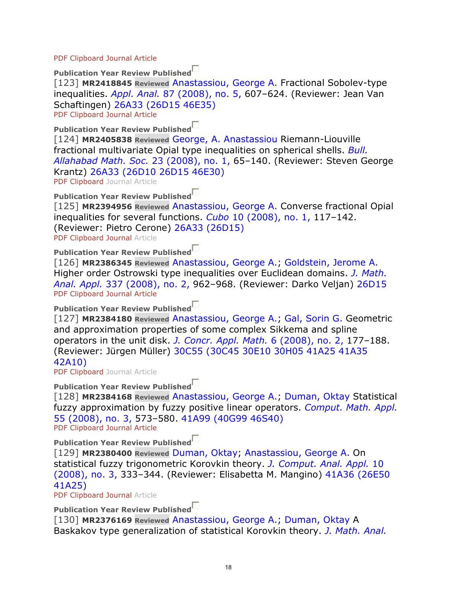PDF Clipboard Journal Article

**Publication Year Review Published**

[123] **MR2418845 Reviewed** Anastassiou, George A. Fractional Sobolev-type inequalities. *Appl. Anal.* 87 (2008), no. 5, 607–624. (Reviewer: Jean Van Schaftingen) 26A33 (26D15 46E35) PDF Clipboard Journal Article

**Publication Year Review Published**

[124] **MR2405838 Reviewed** George, A. Anastassiou Riemann-Liouville fractional multivariate Opial type inequalities on spherical shells. *Bull. Allahabad Math. Soc.* 23 (2008), no. 1, 65–140. (Reviewer: Steven George Krantz) 26A33 (26D10 26D15 46E30)

PDF Clipboard Journal Article

**Publication Year Review Published**

[125] **MR2394956 Reviewed** Anastassiou, George A. Converse fractional Opial inequalities for several functions. *Cubo* 10 (2008), no. 1, 117–142. (Reviewer: Pietro Cerone) 26A33 (26D15)

PDF Clipboard Journal Article

**Publication Year Review Published**

[126] **MR2386345 Reviewed** Anastassiou, George A.; Goldstein, Jerome A. Higher order Ostrowski type inequalities over Euclidean domains. *J. Math. Anal. Appl.* 337 (2008), no. 2, 962–968. (Reviewer: Darko Veljan) 26D15 PDF Clipboard Journal Article

**Publication Year Review Published**

[127] **MR2384180 Reviewed** Anastassiou, George A.; Gal, Sorin G. Geometric and approximation properties of some complex Sikkema and spline operators in the unit disk. *J. Concr. Appl. Math.* 6 (2008), no. 2, 177–188. (Reviewer: Jürgen Müller) 30C55 (30C45 30E10 30H05 41A25 41A35 42A10)

PDF Clipboard Journal Article

**Publication Year Review Published**

[128] **MR2384168 Reviewed** Anastassiou, George A.; Duman, Oktay Statistical fuzzy approximation by fuzzy positive linear operators. *Comput. Math. Appl.* 55 (2008), no. 3, 573–580. 41A99 (40G99 46S40) PDF Clipboard Journal Article

**Publication Year Review Published**

[129] **MR2380400 Reviewed** Duman, Oktay; Anastassiou, George A. On statistical fuzzy trigonometric Korovkin theory. *J. Comput. Anal. Appl.* 10 (2008), no. 3, 333–344. (Reviewer: Elisabetta M. Mangino) 41A36 (26E50 41A25)

PDF Clipboard Journal Article

**Publication Year Review Published**

[130] **MR2376169 Reviewed** Anastassiou, George A.; Duman, Oktay A Baskakov type generalization of statistical Korovkin theory. *J. Math. Anal.*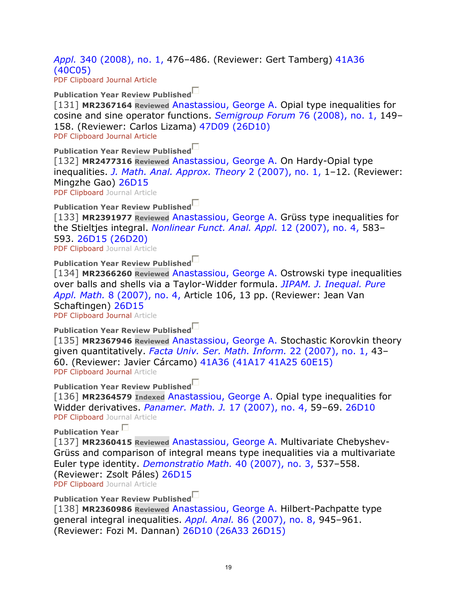*Appl.* 340 (2008), no. 1, 476–486. (Reviewer: Gert Tamberg) 41A36 (40C05) PDF Clipboard Journal Article

**Publication Year Review Published**

[131] **MR2367164 Reviewed** Anastassiou, George A. Opial type inequalities for cosine and sine operator functions. *Semigroup Forum* 76 (2008), no. 1, 149– 158. (Reviewer: Carlos Lizama) 47D09 (26D10) PDF Clipboard Journal Article

**Publication Year Review Published**

[132] **MR2477316 Reviewed** Anastassiou, George A. On Hardy-Opial type inequalities. *J. Math. Anal. Approx. Theory* 2 (2007), no. 1, 1–12. (Reviewer: Mingzhe Gao) 26D15

PDF Clipboard Journal Article

**Publication Year Review Published**

[133] **MR2391977 Reviewed** Anastassiou, George A. Grüss type inequalities for the Stieltjes integral. *Nonlinear Funct. Anal. Appl.* 12 (2007), no. 4, 583– 593. 26D15 (26D20) PDF Clipboard Journal Article

**Publication Year Review Published**

[134] **MR2366260 Reviewed** Anastassiou, George A. Ostrowski type inequalities over balls and shells via a Taylor-Widder formula. *JIPAM. J. Inequal. Pure Appl. Math.* 8 (2007), no. 4, Article 106, 13 pp. (Reviewer: Jean Van Schaftingen) 26D15

PDF Clipboard Journal Article

**Publication Year Review Published**

[135] **MR2367946 Reviewed** Anastassiou, George A. Stochastic Korovkin theory given quantitatively. *Facta Univ. Ser. Math. Inform.* 22 (2007), no. 1, 43– 60. (Reviewer: Javier Cárcamo) 41A36 (41A17 41A25 60E15) PDF Clipboard Journal Article

**Publication Year Review Published**

[136] **MR2364579 Indexed** Anastassiou, George A. Opial type inequalities for Widder derivatives. *Panamer. Math. J.* 17 (2007), no. 4, 59–69. 26D10 PDF Clipboard Journal Article

**Publication Year** 

[137] **MR2360415 Reviewed** Anastassiou, George A. Multivariate Chebyshev-Grüss and comparison of integral means type inequalities via a multivariate Euler type identity. *Demonstratio Math.* 40 (2007), no. 3, 537–558. (Reviewer: Zsolt Páles) 26D15

PDF Clipboard Journal Article

**Publication Year Review Published**

[138] **MR2360986 Reviewed** Anastassiou, George A. Hilbert-Pachpatte type general integral inequalities. *Appl. Anal.* 86 (2007), no. 8, 945–961. (Reviewer: Fozi M. Dannan) 26D10 (26A33 26D15)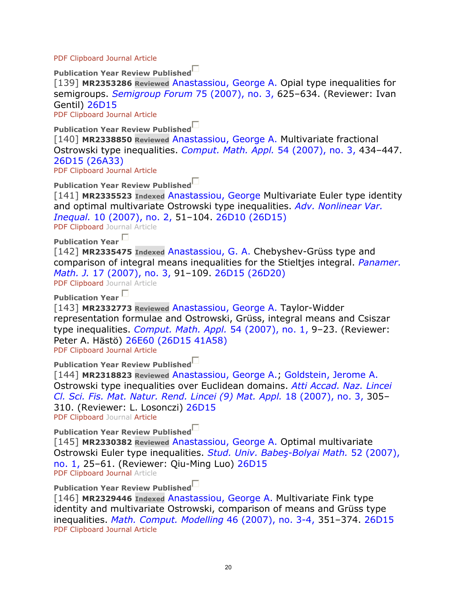PDF Clipboard Journal Article

**Publication Year Review Published**

[139] **MR2353286 Reviewed** Anastassiou, George A. Opial type inequalities for semigroups. *Semigroup Forum* 75 (2007), no. 3, 625–634. (Reviewer: Ivan Gentil) 26D15

PDF Clipboard Journal Article

**Publication Year Review Published**

[140] **MR2338850 Reviewed** Anastassiou, George A. Multivariate fractional Ostrowski type inequalities. *Comput. Math. Appl.* 54 (2007), no. 3, 434–447. 26D15 (26A33)

PDF Clipboard Journal Article

**Publication Year Review Published**

[141] **MR2335523 Indexed** Anastassiou, George Multivariate Euler type identity and optimal multivariate Ostrowski type inequalities. *Adv. Nonlinear Var. Inequal.* 10 (2007), no. 2, 51–104. 26D10 (26D15)

PDF Clipboard Journal Article

**Publication Year** 

[142] **MR2335475 Indexed** Anastassiou, G. A. Chebyshev-Grüss type and comparison of integral means inequalities for the Stieltjes integral. *Panamer. Math. J.* 17 (2007), no. 3, 91–109. 26D15 (26D20)

PDF Clipboard Journal Article

**Publication Year** 

[143] **MR2332773 Reviewed** Anastassiou, George A. Taylor-Widder representation formulae and Ostrowski, Grüss, integral means and Csiszar type inequalities. *Comput. Math. Appl.* 54 (2007), no. 1, 9–23. (Reviewer: Peter A. Hästö) 26E60 (26D15 41A58) PDF Clipboard Journal Article

**Publication Year Review Published**

[144] **MR2318823 Reviewed** Anastassiou, George A.; Goldstein, Jerome A. Ostrowski type inequalities over Euclidean domains. *Atti Accad. Naz. Lincei Cl. Sci. Fis. Mat. Natur. Rend. Lincei (9) Mat. Appl.* 18 (2007), no. 3, 305– 310. (Reviewer: L. Losonczi) 26D15 PDF Clipboard Journal Article

**Publication Year Review Published**

[145] **MR2330382 Reviewed** Anastassiou, George A. Optimal multivariate Ostrowski Euler type inequalities. *Stud. Univ. Babeş-Bolyai Math.* 52 (2007), no. 1, 25–61. (Reviewer: Qiu-Ming Luo) 26D15 PDF Clipboard Journal Article

**Publication Year Review Published**

[146] **MR2329446 Indexed** Anastassiou, George A. Multivariate Fink type identity and multivariate Ostrowski, comparison of means and Grüss type inequalities. *Math. Comput. Modelling* 46 (2007), no. 3-4, 351–374. 26D15 PDF Clipboard Journal Article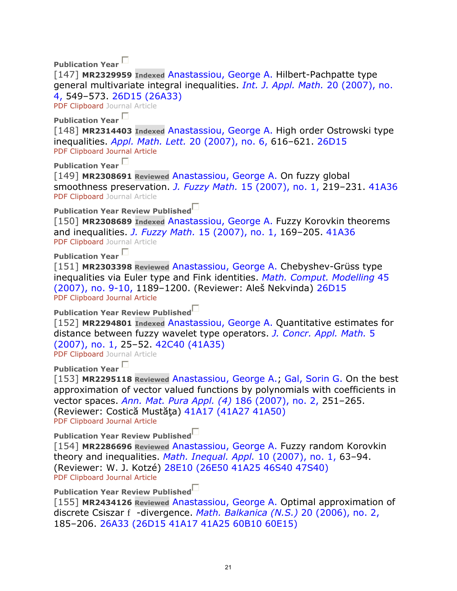**Publication Year** 

[147] **MR2329959 Indexed** Anastassiou, George A. Hilbert-Pachpatte type general multivariate integral inequalities. *Int. J. Appl. Math.* 20 (2007), no. 4, 549–573. 26D15 (26A33)

PDF Clipboard Journal Article

**Publication Year** 

[148] **MR2314403 Indexed** Anastassiou, George A. High order Ostrowski type inequalities. *Appl. Math. Lett.* 20 (2007), no. 6, 616–621. 26D15 PDF Clipboard Journal Article

**Publication Year** 

[149] **MR2308691 Reviewed** Anastassiou, George A. On fuzzy global smoothness preservation. *J. Fuzzy Math.* 15 (2007), no. 1, 219–231. 41A36 PDF Clipboard Journal Article

**Publication Year Review Published**

[150] **MR2308689 Indexed** Anastassiou, George A. Fuzzy Korovkin theorems and inequalities. *J. Fuzzy Math.* 15 (2007), no. 1, 169–205. 41A36 PDF Clipboard Journal Article

**Publication Year** 

[151] **MR2303398 Reviewed** Anastassiou, George A. Chebyshev-Grüss type inequalities via Euler type and Fink identities. *Math. Comput. Modelling* 45 (2007), no. 9-10, 1189–1200. (Reviewer: Aleš Nekvinda) 26D15 PDF Clipboard Journal Article

**Publication Year Review Published**

[152] **MR2294801 Indexed** Anastassiou, George A. Quantitative estimates for distance between fuzzy wavelet type operators. *J. Concr. Appl. Math.* 5 (2007), no. 1, 25–52. 42C40 (41A35)

PDF Clipboard Journal Article

**Publication Year** 

[153] **MR2295118 Reviewed** Anastassiou, George A.; Gal, Sorin G. On the best approximation of vector valued functions by polynomials with coefficients in vector spaces. *Ann. Mat. Pura Appl. (4)* 186 (2007), no. 2, 251–265. (Reviewer: Costică Mustăta) 41A17 (41A27 41A50) PDF Clipboard Journal Article

**Publication Year Review Published**

[154] **MR2286696 Reviewed** Anastassiou, George A. Fuzzy random Korovkin theory and inequalities. *Math. Inequal. Appl.* 10 (2007), no. 1, 63–94. (Reviewer: W. J. Kotzé) 28E10 (26E50 41A25 46S40 47S40) PDF Clipboard Journal Article

**Publication Year Review Published**

[155] **MR2434126 Reviewed** Anastassiou, George A. Optimal approximation of discrete Csiszar f -divergence. *Math. Balkanica (N.S.)* 20 (2006), no. 2, 185–206. 26A33 (26D15 41A17 41A25 60B10 60E15)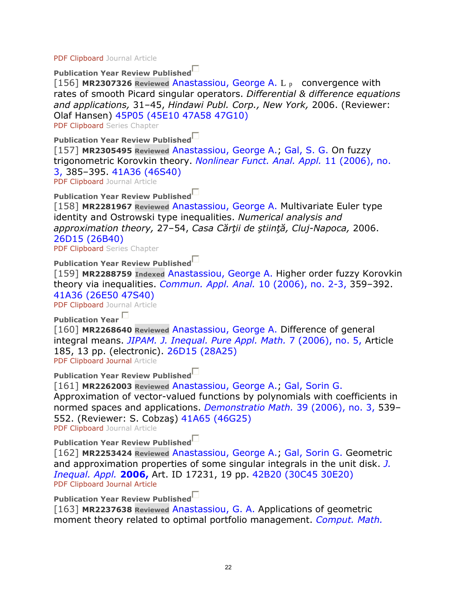PDF Clipboard Journal Article

**Publication Year Review Published**

[156] **MR2307326 Reviewed** Anastassiou, George A. L p convergence with rates of smooth Picard singular operators. *Differential & difference equations and applications,* 31–45, *Hindawi Publ. Corp., New York,* 2006. (Reviewer: Olaf Hansen) 45P05 (45E10 47A58 47G10)

PDF Clipboard Series Chapter

### **Publication Year Review Published**

[157] **MR2305495 Reviewed** Anastassiou, George A.; Gal, S. G. On fuzzy trigonometric Korovkin theory. *Nonlinear Funct. Anal. Appl.* 11 (2006), no. 3, 385–395. 41A36 (46S40)

PDF Clipboard Journal Article

**Publication Year Review Published**

[158] **MR2281967 Reviewed** Anastassiou, George A. Multivariate Euler type identity and Ostrowski type inequalities. *Numerical analysis and approximation theory,* 27–54, *Casa Cărţii de ştiinţă, Cluj-Napoca,* 2006. 26D15 (26B40)

PDF Clipboard Series Chapter

**Publication Year Review Published**

[159] **MR2288759 Indexed** Anastassiou, George A. Higher order fuzzy Korovkin theory via inequalities. *Commun. Appl. Anal.* 10 (2006), no. 2-3, 359–392. 41A36 (26E50 47S40)

PDF Clipboard Journal Article

**Publication Year** 

[160] **MR2268640 Reviewed** Anastassiou, George A. Difference of general integral means. *JIPAM. J. Inequal. Pure Appl. Math.* 7 (2006), no. 5, Article 185, 13 pp. (electronic). 26D15 (28A25) PDF Clipboard Journal Article

**Publication Year Review Published**

[161] **MR2262003 Reviewed** Anastassiou, George A.; Gal, Sorin G. Approximation of vector-valued functions by polynomials with coefficients in normed spaces and applications. *Demonstratio Math.* 39 (2006), no. 3, 539– 552. (Reviewer: S. Cobzaş) 41A65 (46G25)

PDF Clipboard Journal Article

**Publication Year Review Published**

[162] **MR2253424 Reviewed** Anastassiou, George A.; Gal, Sorin G. Geometric and approximation properties of some singular integrals in the unit disk. *J. Inequal. Appl.* **2006,** Art. ID 17231, 19 pp. 42B20 (30C45 30E20) PDF Clipboard Journal Article

**Publication Year Review Published**

[163] **MR2237638 Reviewed** Anastassiou, G. A. Applications of geometric moment theory related to optimal portfolio management. *Comput. Math.*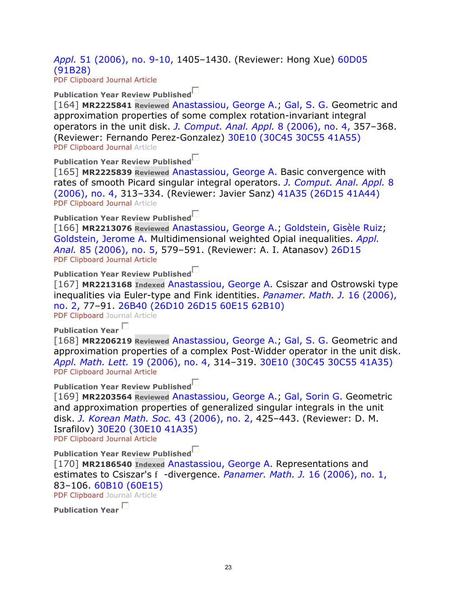### *Appl.* 51 (2006), no. 9-10, 1405–1430. (Reviewer: Hong Xue) 60D05 (91B28)

PDF Clipboard Journal Article

#### **Publication Year Review Published**

[164] **MR2225841 Reviewed** Anastassiou, George A.; Gal, S. G. Geometric and approximation properties of some complex rotation-invariant integral operators in the unit disk. *J. Comput. Anal. Appl.* 8 (2006), no. 4, 357–368. (Reviewer: Fernando Perez-Gonzalez) 30E10 (30C45 30C55 41A55) PDF Clipboard Journal Article

**Publication Year Review Published**

[165] **MR2225839 Reviewed** Anastassiou, George A. Basic convergence with rates of smooth Picard singular integral operators. *J. Comput. Anal. Appl.* 8 (2006), no. 4, 313–334. (Reviewer: Javier Sanz) 41A35 (26D15 41A44) PDF Clipboard Journal Article

### **Publication Year Review Published**

[166] **MR2213076 Reviewed** Anastassiou, George A.; Goldstein, Gisèle Ruiz; Goldstein, Jerome A. Multidimensional weighted Opial inequalities. *Appl. Anal.* 85 (2006), no. 5, 579–591. (Reviewer: A. I. Atanasov) 26D15 PDF Clipboard Journal Article

#### **Publication Year Review Published**

[167] **MR2213168 Indexed** Anastassiou, George A. Csiszar and Ostrowski type inequalities via Euler-type and Fink identities. *Panamer. Math. J.* 16 (2006), no. 2, 77–91. 26B40 (26D10 26D15 60E15 62B10)

PDF Clipboard Journal Article

## **Publication Year**

[168] **MR2206219 Reviewed** Anastassiou, George A.; Gal, S. G. Geometric and approximation properties of a complex Post-Widder operator in the unit disk. *Appl. Math. Lett.* 19 (2006), no. 4, 314–319. 30E10 (30C45 30C55 41A35) PDF Clipboard Journal Article

#### **Publication Year Review Published**

[169] **MR2203564 Reviewed** Anastassiou, George A.; Gal, Sorin G. Geometric and approximation properties of generalized singular integrals in the unit disk. *J. Korean Math. Soc.* 43 (2006), no. 2, 425–443. (Reviewer: D. M. Israfilov) 30E20 (30E10 41A35) PDF Clipboard Journal Article

**Publication Year Review Published**

[170] **MR2186540 Indexed** Anastassiou, George A. Representations and estimates to Csiszar's f -divergence. *Panamer. Math. J.* 16 (2006), no. 1, 83–106. 60B10 (60E15)

PDF Clipboard Journal Article

**Publication Year**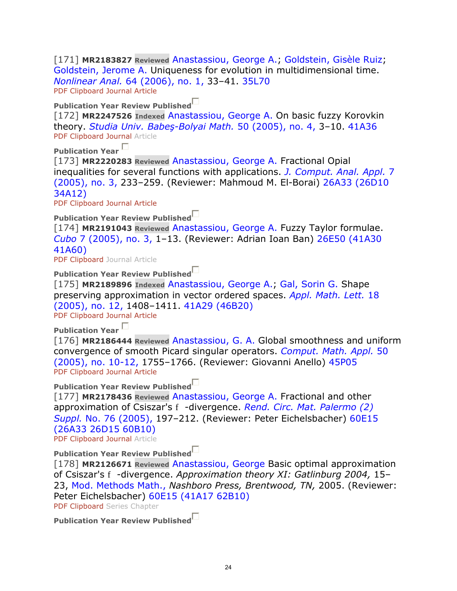[171] **MR2183827 Reviewed** Anastassiou, George A.; Goldstein, Gisèle Ruiz; Goldstein, Jerome A. Uniqueness for evolution in multidimensional time. *Nonlinear Anal.* 64 (2006), no. 1, 33–41. 35L70 PDF Clipboard Journal Article

**Publication Year Review Published**

[172] **MR2247526 Indexed** Anastassiou, George A. On basic fuzzy Korovkin theory. *Studia Univ. Babeş-Bolyai Math.* 50 (2005), no. 4, 3–10. 41A36 PDF Clipboard Journal Article

**Publication Year** 

[173] **MR2220283 Reviewed** Anastassiou, George A. Fractional Opial inequalities for several functions with applications. *J. Comput. Anal. Appl.* 7 (2005), no. 3, 233–259. (Reviewer: Mahmoud M. El-Borai) 26A33 (26D10 34A12)

PDF Clipboard Journal Article

**Publication Year Review Published**

[174] **MR2191043 Reviewed** Anastassiou, George A. Fuzzy Taylor formulae. *Cubo* 7 (2005), no. 3, 1–13. (Reviewer: Adrian Ioan Ban) 26E50 (41A30 41A60)

PDF Clipboard Journal Article

**Publication Year Review Published**

[175] **MR2189896 Indexed** Anastassiou, George A.; Gal, Sorin G. Shape preserving approximation in vector ordered spaces. *Appl. Math. Lett.* 18 (2005), no. 12, 1408–1411. 41A29 (46B20)

PDF Clipboard Journal Article

**Publication Year** 

[176] **MR2186444 Reviewed** Anastassiou, G. A. Global smoothness and uniform convergence of smooth Picard singular operators. *Comput. Math. Appl.* 50 (2005), no. 10-12, 1755–1766. (Reviewer: Giovanni Anello) 45P05 PDF Clipboard Journal Article

**Publication Year Review Published**

[177] **MR2178436 Reviewed** Anastassiou, George A. Fractional and other approximation of Csiszar's f -divergence. *Rend. Circ. Mat. Palermo (2) Suppl.* No. 76 (2005), 197–212. (Reviewer: Peter Eichelsbacher) 60E15 (26A33 26D15 60B10)

PDF Clipboard Journal Article

**Publication Year Review Published**

[178] **MR2126671 Reviewed** Anastassiou, George Basic optimal approximation of Csiszar's f -divergence. *Approximation theory XI: Gatlinburg 2004,* 15– 23, Mod. Methods Math., *Nashboro Press, Brentwood, TN,* 2005. (Reviewer: Peter Eichelsbacher) 60E15 (41A17 62B10)

PDF Clipboard Series Chapter

**Publication Year Review Published**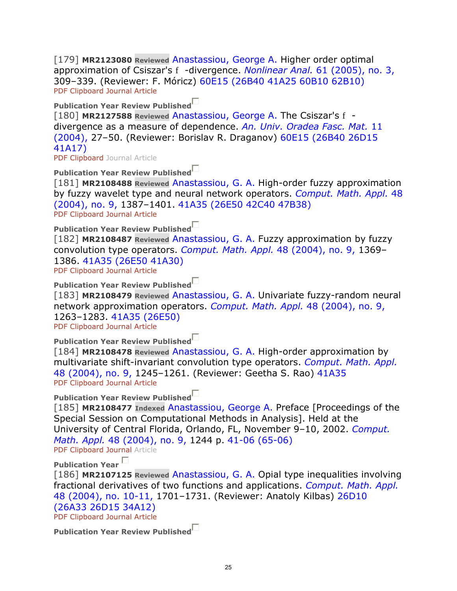[179] **MR2123080 Reviewed** Anastassiou, George A. Higher order optimal approximation of Csiszar's f -divergence. *Nonlinear Anal.* 61 (2005), no. 3, 309–339. (Reviewer: F. Móricz) 60E15 (26B40 41A25 60B10 62B10) PDF Clipboard Journal Article

**Publication Year Review Published**

[180] **MR2127588 Reviewed** Anastassiou, George A. The Csiszar's f divergence as a measure of dependence. *An. Univ. Oradea Fasc. Mat.* 11 (2004), 27–50. (Reviewer: Borislav R. Draganov) 60E15 (26B40 26D15 41A17)

PDF Clipboard Journal Article

**Publication Year Review Published**

[181] **MR2108488 Reviewed** Anastassiou, G. A. High-order fuzzy approximation by fuzzy wavelet type and neural network operators. *Comput. Math. Appl.* 48 (2004), no. 9, 1387–1401. 41A35 (26E50 42C40 47B38) PDF Clipboard Journal Article

**Publication Year Review Published**

[182] **MR2108487 Reviewed** Anastassiou, G. A. Fuzzy approximation by fuzzy convolution type operators. *Comput. Math. Appl.* 48 (2004), no. 9, 1369– 1386. 41A35 (26E50 41A30)

PDF Clipboard Journal Article

**Publication Year Review Published**

[183] **MR2108479 Reviewed** Anastassiou, G. A. Univariate fuzzy-random neural network approximation operators. *Comput. Math. Appl.* 48 (2004), no. 9, 1263–1283. 41A35 (26E50)

PDF Clipboard Journal Article

**Publication Year Review Published**

[184] **MR2108478 Reviewed** Anastassiou, G. A. High-order approximation by multivariate shift-invariant convolution type operators. *Comput. Math. Appl.* 48 (2004), no. 9, 1245–1261. (Reviewer: Geetha S. Rao) 41A35 PDF Clipboard Journal Article

**Publication Year Review Published**

[185] **MR2108477 Indexed** Anastassiou, George A. Preface [Proceedings of the Special Session on Computational Methods in Analysis]. Held at the University of Central Florida, Orlando, FL, November 9–10, 2002. *Comput. Math. Appl.* 48 (2004), no. 9, 1244 p. 41-06 (65-06)

PDF Clipboard Journal Article

**Publication Year** 

[186] **MR2107125 Reviewed** Anastassiou, G. A. Opial type inequalities involving fractional derivatives of two functions and applications. *Comput. Math. Appl.* 48 (2004), no. 10-11, 1701–1731. (Reviewer: Anatoly Kilbas) 26D10 (26A33 26D15 34A12) PDF Clipboard Journal Article

**Publication Year Review Published**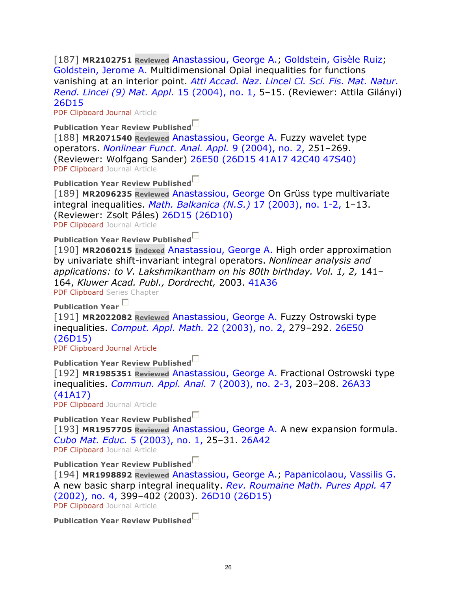[187] **MR2102751 Reviewed** Anastassiou, George A.; Goldstein, Gisèle Ruiz; Goldstein, Jerome A. Multidimensional Opial inequalities for functions vanishing at an interior point. *Atti Accad. Naz. Lincei Cl. Sci. Fis. Mat. Natur. Rend. Lincei (9) Mat. Appl.* 15 (2004), no. 1, 5–15. (Reviewer: Attila Gilányi) 26D15

PDF Clipboard Journal Article

**Publication Year Review Published**

[188] **MR2071540 Reviewed** Anastassiou, George A. Fuzzy wavelet type operators. *Nonlinear Funct. Anal. Appl.* 9 (2004), no. 2, 251–269. (Reviewer: Wolfgang Sander) 26E50 (26D15 41A17 42C40 47S40) PDF Clipboard Journal Article

**Publication Year Review Published**

[189] **MR2096235 Reviewed** Anastassiou, George On Grüss type multivariate integral inequalities. *Math. Balkanica (N.S.)* 17 (2003), no. 1-2, 1–13. (Reviewer: Zsolt Páles) 26D15 (26D10) PDF Clipboard Journal Article

**Publication Year Review Published**

[190] **MR2060215 Indexed** Anastassiou, George A. High order approximation by univariate shift-invariant integral operators. *Nonlinear analysis and*  applications: to V. Lakshmikantham on his 80th birthday. Vol. 1, 2, 141-164, *Kluwer Acad. Publ., Dordrecht,* 2003. 41A36

PDF Clipboard Series Chapter

**Publication Year** 

[191] **MR2022082 Reviewed** Anastassiou, George A. Fuzzy Ostrowski type inequalities. *Comput. Appl. Math.* 22 (2003), no. 2, 279–292. 26E50 (26D15)

PDF Clipboard Journal Article

**Publication Year Review Published**

[192] **MR1985351 Reviewed** Anastassiou, George A. Fractional Ostrowski type inequalities. *Commun. Appl. Anal.* 7 (2003), no. 2-3, 203–208. 26A33 (41A17) PDF Clipboard Journal Article

**Publication Year Review Published**

[193] **MR1957705 Reviewed** Anastassiou, George A. A new expansion formula. *Cubo Mat. Educ.* 5 (2003), no. 1, 25–31. 26A42

PDF Clipboard Journal Article

**Publication Year Review Published**

[194] **MR1998892 Reviewed** Anastassiou, George A.; Papanicolaou, Vassilis G. A new basic sharp integral inequality. *Rev. Roumaine Math. Pures Appl.* 47 (2002), no. 4, 399–402 (2003). 26D10 (26D15) PDF Clipboard Journal Article

**Publication Year Review Published**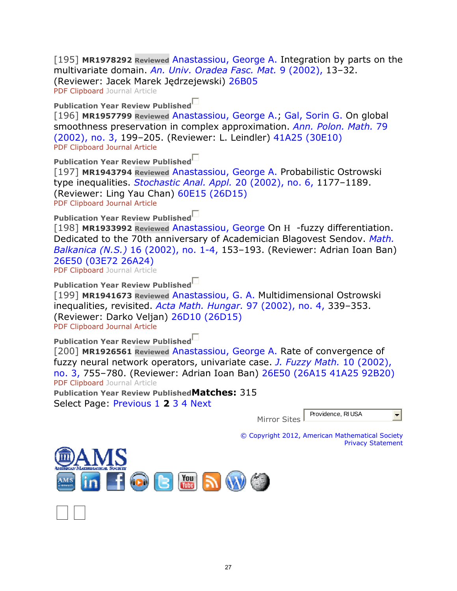[195] **MR1978292 Reviewed** Anastassiou, George A. Integration by parts on the multivariate domain. *An. Univ. Oradea Fasc. Mat.* 9 (2002), 13–32. (Reviewer: Jacek Marek Jędrzejewski) 26B05 PDF Clipboard Journal Article

**Publication Year Review Published**

[196] **MR1957799 Reviewed** Anastassiou, George A.; Gal, Sorin G. On global smoothness preservation in complex approximation. *Ann. Polon. Math.* 79 (2002), no. 3, 199–205. (Reviewer: L. Leindler) 41A25 (30E10) PDF Clipboard Journal Article

**Publication Year Review Published**

[197] **MR1943794 Reviewed** Anastassiou, George A. Probabilistic Ostrowski type inequalities. *Stochastic Anal. Appl.* 20 (2002), no. 6, 1177–1189. (Reviewer: Ling Yau Chan) 60E15 (26D15) PDF Clipboard Journal Article

**Publication Year Review Published**

[198] **MR1933992 Reviewed** Anastassiou, George On H -fuzzy differentiation. Dedicated to the 70th anniversary of Academician Blagovest Sendov. *Math. Balkanica (N.S.)* 16 (2002), no. 1-4, 153–193. (Reviewer: Adrian Ioan Ban) 26E50 (03E72 26A24)

PDF Clipboard Journal Article

**Publication Year Review Published**

[199] **MR1941673 Reviewed** Anastassiou, G. A. Multidimensional Ostrowski inequalities, revisited. *Acta Math. Hungar.* 97 (2002), no. 4, 339–353. (Reviewer: Darko Veljan) 26D10 (26D15)

PDF Clipboard Journal Article

**Publication Year Review Published**

[200] **MR1926561 Reviewed** Anastassiou, George A. Rate of convergence of fuzzy neural network operators, univariate case. *J. Fuzzy Math.* 10 (2002), no. 3, 755–780. (Reviewer: Adrian Ioan Ban) 26E50 (26A15 41A25 92B20) PDF Clipboard Journal Article

**Publication Year Review PublishedMatches:** 315 Select Page: Previous 1 **2** 3 4 Next

> Providence, RI USA  $\vert \cdot \vert$ Mirror Sites

© Copyright 2012, American Mathematical Society Privacy Statement

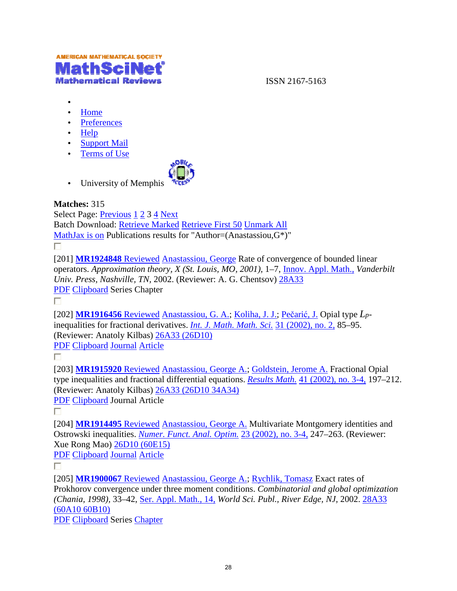

ISSN 2167-5163

- •
- Home
- Preferences
- Help
- Support Mail
- Terms of Use



• University of Memphis

#### **Matches:** 315

Select Page: *Previous* 1 2 3 4 Next Batch Download: *Retrieve Marked Retrieve First 50 Unmark All* MathJax is on Publications results for "Author=(Anastassiou, G\*)" П.

[201] **MR1924848** Reviewed Anastassiou, George Rate of convergence of bounded linear operators. *Approximation theory, X (St. Louis, MO, 2001),*  1–7, Innov. Appl. Math., Appl. Math., *Vanderbilt Univ. Press, Nashville, TN,* 2002. (Reviewer: A. G. Chentsov) 28A33 PDF Clipboard Series Chapter

 $\Box$ 

[202] **MR1916456** Reviewed Anastassiou, G. A.; Koliha, J. J.; Pečarić, J. Opial type Lpinequalities for fractional derivatives. *Int. J. Math. Math. Sci.* 31 (2002), no. 2, 85–95. (Reviewer: Anatoly Kilbas) 26A33 (26D10)

PDF Clipboard Journal Article

П

[203] **MR1915920** Reviewed Anastassiou, George A.; Goldstein, Jerome A. Fractional Opial type inequalities and fractional differential equations. *Results Math.* 41 (2002), no. 3-4, 197–212. (Reviewer: Anatoly Kilbas) 26A33 (26D10 34A34)

PDF Clipboard Journal Article

П

[204] **MR1914495** Reviewed Anastassiou, George A. Multivariate Montgomery identities and Ostrowski inequalities. *Numer. Funct. Anal. Optim.* 23 (2002), no. 3-4, 247–263. (Reviewer: Xue Rong Mao) 26D10 (60E15)

PDF Clipboard Journal Article

П

[205] **MR1900067** Reviewed Anastassiou, George A.; Rychlik, Tomasz Exact rates of Prokhorov convergence under three moment conditions. Combinatorial and global optimization *(Chania, 1998),* 33–42, Ser. Appl. Math., 14, *World Sci. Publ., River Edge, NJ,* 2002. 28A33 (60A10 60B10)

PDF Clipboard Series Chapter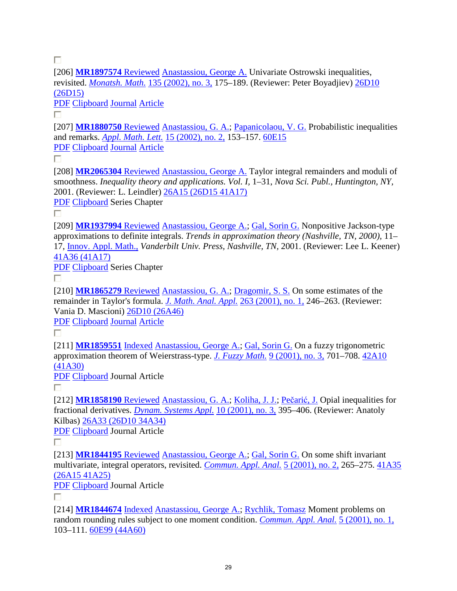П

[206] **MR1897574** Reviewed Anastassiou, George A. Univariate Ostrowski inequalities, revisited. *Monatsh. Math.* 135 (2002), no. 3, 175–189. (Reviewer: Peter Boyadjiev) 26D10 (26D15)

PDF Clipboard Journal Article

П

[207] **MR1880750** Reviewed Anastassiou, G. A.; Papanicolaou, V. G. Probabilistic inequalities and remarks. *Appl. Math. Lett.* 15 (2002), no. 2, 153–157. 60E15 PDF Clipboard Journal Article

П

[208] **MR2065304** Reviewed Anastassiou, George A. Taylor integral remainders and moduli of smoothness. *Inequality theory and applications. Vol. I,* 1–31, *Nova Sci. Publ., Huntington, NY,* 2001. (Reviewer: L. Leindler) 26A15 (26D15 41A17)

PDF Clipboard Series Chapter

П.

[209] **MR1937994** Reviewed Anastassiou, George A.; Gal, Sorin G. Nonpositive Jackson-type approximations to definite integrals. *Trends in approximation theory (Nashville, TN, 2000),* 11– 17, Innov. Appl. Math., *Vanderbilt Univ. Press, Nashville, TN,* 2001. (Reviewer: Lee L. Keener) 41A36 (41A17)

PDF Clipboard Series Chapter

П.

[210] **MR1865279** Reviewed Anastassiou, G. A.; Dragomir, S. S. On some estimates of the remainder in Taylor's formula. *J. Math. Anal. Appl.* 263 (2001), no. 1, 246–263. (Reviewer: Vania D. Mascioni) 26D10 (26A46)

PDF Clipboard Journal Article

П

[211] **MR1859551** Indexed Anastassiou, George A.; Gal, Sorin G. On a fuzzy trigonometric approximation theorem of Weierstrass-type. *J. Fuzzy Math.* 9 (2001), no. 3, 701–708. 42A10 (41A30)

PDF Clipboard Journal Article

П

[212] **MR1858190** Reviewed Anastassiou, G. A.; Koliha, J. J.; Pečarić, J. Opial inequalities for fractional derivatives. *Dynam. Systems Appl.* 10 (2001), no. 3, 395–406. (Reviewer: Anatoly Kilbas) 26A33 (26D10 34A34)

PDF Clipboard Journal Article

П

[213] **MR1844195** Reviewed Anastassiou, George A.; Gal, Sorin G. On some shift invariant multivariate, integral operators, revisited. *Commun. Appl. Anal.* 5 (2001), no. 2, 265–275. 41A35 (26A15 41A25)

PDF Clipboard Journal Article

П.

[214] **MR1844674** Indexed Anastassiou, George A.; Rychlik, Tomasz Moment problems on random rounding rules subject to one moment condition. *Commun. Appl. Anal.* 5 (2001), no. 1, 103–111. 60E99 (44A60)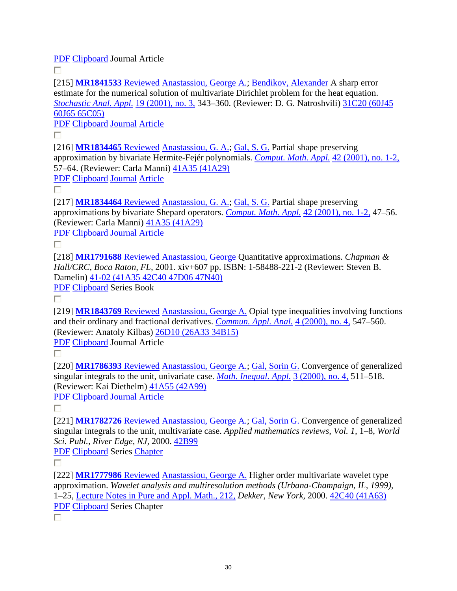PDF Clipboard Journal Article

П.

[215] **MR1841533** Reviewed Anastassiou, George A.; Bendikov, Alexander A sharp error estimate for the numerical solution of multivariate Dirichlet problem for the heat equation. *Stochastic Anal. Appl.* 19 (2001), no. 3, 343–360. (Reviewer: D. G. Natroshvili) 31C20 (60J45 60J65 65C05)

PDF Clipboard Journal Article

П.

[216] **MR1834465** Reviewed Anastassiou, G. A.; Gal, S. G. Partial shape preserving approximation by bivariate Hermite-Fejér polynomials. *Comput. Math. Appl.* 42 (2001), no. 1-2, 57–64. (Reviewer: Carla Manni) 41A35 (41A29)

PDF Clipboard Journal Article

П

[217] **MR1834464** Reviewed Anastassiou, G. A.; Gal, S. G. Partial shape preserving approximations by bivariate Shepard operators. *Comput. Math. Appl.* 42 (2001), no. 1-2, 47–56. (Reviewer: Carla Manni) 41A35 (41A29)

PDF Clipboard Journal Article

П

[218] **MR1791688** Reviewed Anastassiou, George Quantitative approximations. *Chapman & Hall/CRC, Boca Raton, FL,* 2001. xiv+607 pp. ISBN: 1-58488-221-2 (Reviewer: Steven B. Damelin) 41-02 (41A35 42C40 47D06 47N40)

PDF Clipboard Series Book

П.

[219] **MR1843769** Reviewed Anastassiou, George A. Opial type inequalities involving functions and their ordinary and fractional derivatives. *Commun. Appl. Anal.* 4 (2000), no. 4, 547–560. (Reviewer: Anatoly Kilbas) 26D10 (26A33 34B15)

PDF Clipboard Journal Article

П.

[220] **MR1786393** Reviewed Anastassiou, George A.; Gal, Sorin G. Convergence of generalized singular integrals to the unit, univariate case. *Math. Inequal. Appl.* 3 (2000), no. 4, 511–518. (Reviewer: Kai Diethelm) 41A55 (42A99)

PDF Clipboard Journal Article

П.

[221] **MR1782726** Reviewed Anastassiou, George A.; Gal, Sorin G. Convergence of generalized singular integrals to the unit, multivariate case. *Applied mathematics reviews, Vol. 1,* 1–8, *World Sci. Publ., River Edge, NJ,* 2000. 42B99

PDF Clipboard Series Chapter

П

[222] **MR1777986** Reviewed Anastassiou, George A. Higher order multivariate wavelet type approximation. *Wavelet analysis and multiresolution methods (Urbana-Champaign, IL, 1999),*  1–25, Lecture Notes in Pure and Appl. Math., 212, *Dekker, New York,* 2000. 42C40 (41A63) PDF Clipboard Series Chapter

П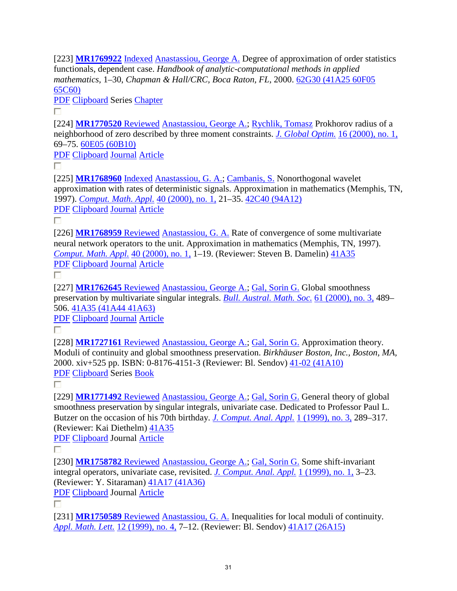[223] **MR1769922** Indexed Anastassiou, George A. Degree of approximation of order statistics functionals, dependent case. *Handbook of analytic-computational methods in applied mathematics,* 1–30, *Chapman & Hall/CRC, Boca Raton, FL,* 2000. 62G30 (41A25 60F05 65C60)

PDF Clipboard Series Chapter

П

[224] **MR1770520** Reviewed Anastassiou, George A.; Rychlik, Tomasz Prokhorov radius of a neighborhood of zero described by three moment constraints. *J. Global Optim.* 16 (2000), no. 1, 69–75. 60E05 (60B10)

PDF Clipboard Journal Article

П

[225] **MR1768960** Indexed Anastassiou, G. A.; Cambanis, S. Nonorthogonal wavelet approximation with rates of deterministic signals. Approximation in mathematics (Memphis, TN, 1997). *Comput. Math. Appl.* 40 (2000), no. 1, 21–35. 42C40 (94A12) PDF Clipboard Journal Article

П.

[226] **MR1768959** Reviewed Anastassiou, G. A. Rate of convergence of some multivariate neural network operators to the unit. Approximation in mathematics (Memphis, TN, 1997). *Comput. Math. Appl.* 40 (2000), no. 1, 1–19. (Reviewer: Steven B. Damelin) 41A35 PDF Clipboard Journal Article

П.

[227] **MR1762645** Reviewed Anastassiou, George A.; Gal, Sorin G. Global smoothness preservation by multivariate singular integrals. *Bull. Austral. Math. Soc.* 61 (2000), no. 3, 489– 506. 41A35 (41A44 41A63)

PDF Clipboard Journal Article

П.

[228] **MR1727161** Reviewed Anastassiou, George A.; Gal, Sorin G. Approximation theory. Moduli of continuity and global smoothness preservation. *Birkhäuser Boston, Inc., Boston, MA,* 2000. xiv+525 pp. ISBN: 0-8176-4151-3 (Reviewer: Bl. Sendov) 41-02 (41A10) PDF Clipboard Series Book

П

[229] **MR1771492** Reviewed Anastassiou, George A.; Gal, Sorin G. General theory of global smoothness preservation by singular integrals, univariate case. Dedicated to Professor Paul L. Butzer on the occasion of his 70th birthday. *J. Comput. Anal. Appl.* 1 (1999), no. 3, 289–317. (Reviewer: Kai Diethelm) 41A35

PDF Clipboard Journal Article

Г

[230] **MR1758782** Reviewed Anastassiou, George A.; Gal, Sorin G. Some shift-invariant integral operators, univariate case, revisited. *J. Comput. Anal. Appl.* 1 (1999), no. 1, 3–23. (Reviewer: Y. Sitaraman) 41A17 (41A36)

PDF Clipboard Journal Article

П

[231] **MR1750589** Reviewed Anastassiou, G. A. Inequalities for local moduli of continuity. *Appl. Math. Lett.* 12 (1999), no. 4, 7–12. (Reviewer: Bl. Sendov) 41A17 (26A15)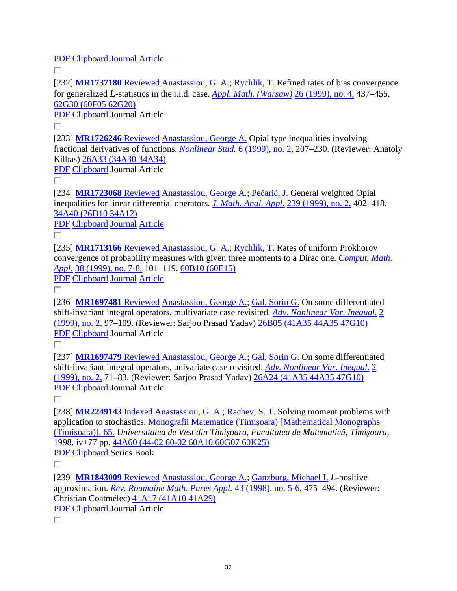PDF Clipboard Journal Article

П.

[232] **MR1737180** Reviewed Anastassiou, G. A.; Rychlik, T. Refined rates of bias convergence for generalized *L*-statistics in the i.i.d. case. *Appl. Math. (Warsaw)* 26 (1999), no. 4, 437–455. 62G30 (60F05 62G20)

PDF Clipboard Journal Article

П.

[233] **MR1726246** Reviewed Anastassiou, George A. Opial type inequalities involving fractional derivatives of functions. *Nonlinear Stud.* 6 (1999), no. 2, 207–230. (Reviewer: Anatoly Kilbas) 26A33 (34A30 34A34)

PDF Clipboard Journal Article

П.

[234] **MR1723068** Reviewed Anastassiou, George A.; Pečarić, J. General weighted Opial inequalities for linear differential operators. *J. Math. Anal. Appl.* 239 (1999), no. 2, 402–418. 34A40 (26D10 34A12)

PDF Clipboard Journal Article

П

[235] **MR1713166** Reviewed Anastassiou, G. A.; Rychlik, T. Rates of uniform Prokhorov convergence of probability measures with given three moments to a Dirac one. *Comput. Math. Appl.* 38 (1999), no. 7-8, 101–119. 60B10 (60E15)

PDF Clipboard Journal Article

П.

[236] **MR1697481** Reviewed Anastassiou, George A.; Gal, Sorin G. On some differentiated shift-invariant integral operators, multivariate case revisited. *Adv. Nonlinear Var. Inequal.* 2 (1999), no. 2, 97–109. (Reviewer: Sarjoo Prasad Yadav) 26B05 (41A35 44A35 47G10) PDF Clipboard Journal Article

П

[237] **MR1697479** Reviewed Anastassiou, George A.; Gal, Sorin G. On some differentiated shift-invariant integral operators, univariate case revisited. *Adv. Nonlinear Var. Inequal.* 2 (1999), no. 2, 71–83. (Reviewer: Sarjoo Prasad Yadav) 26A24 (41A35 44A35 47G10) PDF Clipboard Journal Article

П

[238] **MR2249143** Indexed Anastassiou, G. A.; Rachev, S. T. Solving moment problems with application to stochastics. Monografii Matematice (Timişoara) [Mathematical Monographs (Timişoara)], 65. *Universitatea de Vest din Timişoara, Facultatea de Matematică, Timişoara,* 1998. iv+77 pp. 44A60 (44-02 60-02 60A10 60G07 60K25) PDF Clipboard Series Book

П

[239] **MR1843009** Reviewed Anastassiou, George A.; Ganzburg, Michael I. *L*-positive approximation. *Rev. Roumaine Math. Pures Appl.* 43 (1998), no. 5-6, 475–494. (Reviewer: Christian Coatmélec) 41A17 (41A10 41A29)

PDF Clipboard Journal Article

П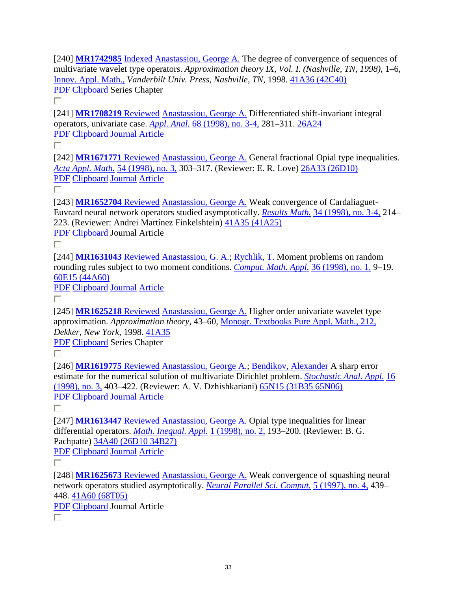[240] **MR1742985** Indexed Anastassiou, George A. The degree of convergence of sequences of multivariate wavelet type operators. *Approximation theory IX, Vol. I. (Nashville, TN, 1998), 1–6,* Innov. Appl. Math., *Vanderbilt Univ. Press, Nashville, TN,* 1998. 41A36 (42C40) PDF Clipboard Series Chapter

П

[241] **MR1708219** Reviewed Anastassiou, George A. Differentiated shift-invariant integral operators, univariate case. *Appl. Anal.* 68 (1998), no. 3-4, 281–311. 26A24 PDF Clipboard Journal Article

П.

[242] **MR1671771** Reviewed Anastassiou, George A. General fractional Opial type inequalities. *Acta Appl. Math.* 54 (1998), no. 3, 303–317. (Reviewer: E. R. Love) 26A33 (26D10) PDF Clipboard Journal Article

П

[243] **MR1652704** Reviewed Anastassiou, George A. Weak convergence of Cardaliaguet-Euvrard neural network operators studied asymptotically. *Results Math.* 34 (1998), no. 3-4, 214– 223. (Reviewer: Andrei Martínez Finkelshtein) 41A35 (41A25)

PDF Clipboard Journal Article

П

[244] MR1631043 Reviewed Anastassiou, G. A.; Rychlik, T. Moment problems on random rounding rules subject to two moment conditions. *Comput. Math. Appl.* 36 (1998), no. 1, 9–19. 60E15 (44A60)

PDF Clipboard Journal Article

П.

[245] **MR1625218** Reviewed Anastassiou, George A. Higher order univariate wavelet type approximation. *Approximation theory,* 43–60, Monogr. Textbooks Pure Appl. Math., 212, *Dekker, New York,* 1998. 41A35

PDF Clipboard Series Chapter

П.

[246] **MR1619775** Reviewed Anastassiou, George A.; Bendikov, Alexander A sharp error estimate for the numerical solution of multivariate Dirichlet problem. *Stochastic Anal. Appl.* 16 (1998), no. 3, 403–422. (Reviewer: A. V. Dzhishkariani) 65N15 (31B35 65N06) PDF Clipboard Journal Article

п

[247] **MR1613447** Reviewed Anastassiou, George A. Opial type inequalities for linear differential operators. *Math. Inequal. Appl.* 1 (1998), no. 2, 193–200. (Reviewer: B. G. Pachpatte) 34A40 (26D10 34B27)

PDF Clipboard Journal Article

П

[248] **MR1625673** Reviewed Anastassiou, George A. Weak convergence of squashing neural network operators studied asymptotically. *Neural Parallel Sci. Comput.* 5 (1997), no. 4, 439– 448. 41A60 (68T05)

PDF Clipboard Journal Article П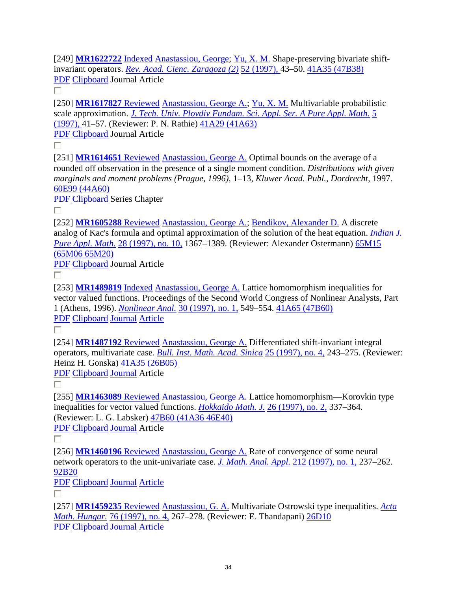[249] **MR1622722** Indexed Anastassiou, George; Yu, X. M. Shape-preserving bivariate shiftinvariant operators. *Rev. Acad. Cienc. Zaragoza (2)* 52 (1997), 43–50. 41A35 (47B38) PDF Clipboard Journal Article

П

[250] **MR1617827** Reviewed Anastassiou, George A.; Yu, X. M. Multivariable probabilistic scale approximation. *J. Tech. Univ. Plovdiv Fundam. Sci. Appl. Ser. A Pure Appl. Math.* 5 (1997), 41–57. (Reviewer: P. N. Rathie) 41A29 (41A63)

PDF Clipboard Journal Article

П.

[251] **MR1614651** Reviewed Anastassiou, George A. Optimal bounds on the average of a rounded off observation in the presence of a single moment condition. *Distributions with given marginals and moment problems (Prague, 1996),* 1–13, *Kluwer Acad. Publ., Dordrecht,* 1997. 60E99 (44A60)

PDF Clipboard Series Chapter П

[252] **MR1605288** Reviewed Anastassiou, George A.; Bendikov, Alexander D. A discrete analog of Kac's formula and optimal approximation of the solution of the heat equation. *Indian J. Pure Appl. Math.* 28 (1997), no. 10, 1367–1389. (Reviewer: Alexander Ostermann) 65M15 (65M06 65M20)

PDF Clipboard Journal Article

П.

[253] **MR1489819** Indexed Anastassiou, George A. Lattice homomorphism inequalities for vector valued functions. Proceedings of the Second World Congress of Nonlinear Analysts, Part 1 (Athens, 1996). *Nonlinear Anal.* 30 (1997), no. 1, 549–554. 41A65 (47B60) PDF Clipboard Journal Article

П

[254] **MR1487192** Reviewed Anastassiou, George A. Differentiated shift-invariant integral operators, multivariate case. *Bull. Inst. Math. Acad. Sinica* 25 (1997), no. 4, 243–275. (Reviewer: Heinz H. Gonska) 41A35 (26B05)

PDF Clipboard Journal Article

П

[255] **MR1463089** Reviewed Anastassiou, George A. Lattice homomorphism—Korovkin type inequalities for vector valued functions. *Hokkaido Math. J.* 26 (1997), no. 2, 337–364. (Reviewer: L. G. Labsker) 47B60 (41A36 46E40)

PDF Clipboard Journal Article

П

[256] **MR1460196** Reviewed Anastassiou, George A. Rate of convergence of some neural network operators to the unit-univariate case. *J. Math. Anal. Appl.* 212 (1997), no. 1, 237–262. 92B20

PDF Clipboard Journal Article

П

[257] **MR1459235** Reviewed Anastassiou, G. A. Multivariate Ostrowski type inequalities. *Acta Math. Hungar.* 76 (1997), no. 4, 267–278. (Reviewer: E. Thandapani) 26D10 PDF Clipboard Journal Article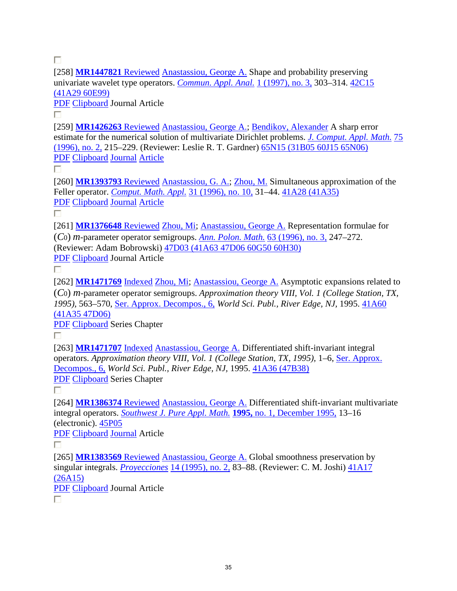П

[258] **MR1447821** Reviewed Anastassiou, George A. Shape and probability preserving univariate wavelet type operators. *Commun. Appl. Anal.* 1 (1997), no. 3, 303–314. 42C15 (41A29 60E99)

PDF Clipboard Journal Article

П

[259] **MR1426263** Reviewed Anastassiou, George A.; Bendikov, Alexander A sharp error estimate for the numerical solution of multivariate Dirichlet problems. *J. Comput. Appl. Math.* 75 (1996), no. 2, 215–229. (Reviewer: Leslie R. T. Gardner) 65N15 (31B05 60J15 65N06) PDF Clipboard Journal Article

П

[260] **MR1393793** Reviewed Anastassiou, G. A.; Zhou, M. Simultaneous approximation of the Feller operator. *Comput. Math. Appl.* 31 (1996), no. 10, 31–44. 41A28 (41A35) PDF Clipboard Journal Article

П

[261] **MR1376648** Reviewed Zhou, Mi; Anastassiou, George A. Representation formulae for (*C*0) *m*-parameter operator semigroups. *Ann. Polon. Math.* 63 (1996), no. 3, 247–272. (Reviewer: Adam Bobrowski) 47D03 (41A63 47D06 60G50 60H30) PDF Clipboard Journal Article

П.

[262] **MR1471769** Indexed Zhou, Mi; Anastassiou, George A. Asymptotic expansions related to (*C*0) *m*-parameter operator semigroups. *Approximation theory VIII, Vol. 1 (College Station, TX, 1995),* 563–570, Ser. Approx. Decompos., 6, *World Sci. Publ., River Edge, NJ,* 1995. 41A60 (41A35 47D06)

PDF Clipboard Series Chapter

П

[263] **MR1471707** Indexed Anastassiou, George A. Differentiated shift-invariant integral operators. *Approximation theory VIII, Vol. 1 (College Station, TX, 1995), 1–6, Ser. Approx.* Decompos., 6, *World Sci. Publ., River Edge, NJ,* 1995. 41A36 (47B38) PDF Clipboard Series Chapter

п

[264] **MR1386374** Reviewed Anastassiou, George A. Differentiated shift-invariant multivariate integral operators. *Southwest J. Pure Appl. Math.* **1995,** no. 1, December 1995, 13–16 (electronic). 45P05

PDF Clipboard Journal Article

П.

[265] **MR1383569** Reviewed Anastassiou, George A. Global smoothness preservation by singular integrals. *Proyecciones* 14 (1995), no. 2, 83–88. (Reviewer: C. M. Joshi) 41A17 (26A15)

PDF Clipboard Journal Article

П.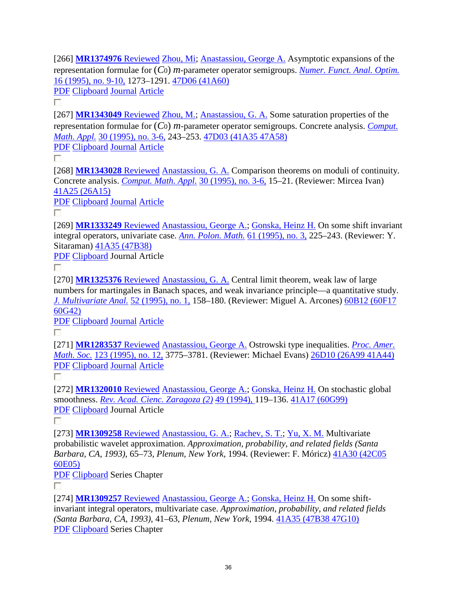[266] **MR1374976** Reviewed Zhou, Mi; Anastassiou, George A. Asymptotic expansions of the representation formulae for (*C*0) *m*-parameter operator semigroups. *Numer. Funct. Anal. Optim.* 16 (1995), no. 9-10, 1273–1291. 47D06 (41A60)

PDF Clipboard Journal Article

П

[267] **MR1343049** Reviewed Zhou, M.; Anastassiou, G. A. Some saturation properties of the representation formulae for (*C*0) *m*-parameter operator semigroups. Concrete analysis. *Comput. Math. Appl.* 30 (1995), no. 3-6, 243–253. 47D03 (41A35 47A58)

PDF Clipboard Journal Article

П

[268] **MR1343028** Reviewed Anastassiou, G. A. Comparison theorems on moduli of continuity. Concrete analysis. *Comput. Math. Appl.* 30 (1995), no. 3-6, 15–21. (Reviewer: Mircea Ivan) 41A25 (26A15)

PDF Clipboard Journal Article

П.

[269] **MR1333249** Reviewed Anastassiou, George A.; Gonska, Heinz H. On some shift invariant integral operators, univariate case. *Ann. Polon. Math.* 61 (1995), no. 3, 225–243. (Reviewer: Y. Sitaraman) 41A35 (47B38)

PDF Clipboard Journal Article

 $\Box$ 

[270] **MR1325376** Reviewed Anastassiou, G. A. Central limit theorem, weak law of large numbers for martingales in Banach spaces, and weak invariance principle—a quantitative study. *J. Multivariate Anal.* 52 (1995), no. 1, 158–180. (Reviewer: Miguel A. Arcones) 60B12 (60F17 60G42)

PDF Clipboard Journal Article

П.

[271] **MR1283537** Reviewed Anastassiou, George A. Ostrowski type inequalities. *Proc. Amer. Math. Soc.* 123 (1995), no. 12, 3775–3781. (Reviewer: Michael Evans) 26D10 (26A99 41A44) PDF Clipboard Journal Article

П.

[272] **MR1320010** Reviewed Anastassiou, George A.; Gonska, Heinz H. On stochastic global smoothness. *Rev. Acad. Cienc. Zaragoza (2)* 49 (1994), 119–136. 41A17 (60G99) PDF Clipboard Journal Article

П.

[273] **MR1309258** Reviewed Anastassiou, G. A.; Rachev, S. T.; Yu, X. M. Multivariate probabilistic wavelet approximation. *Approximation, probability, and related fields (Santa Barbara, CA, 1993),* 65–73, *Plenum, New York,* 1994. (Reviewer: F. Móricz) 41A30 (42C05 60E05)

PDF Clipboard Series Chapter

п

[274] **MR1309257** Reviewed Anastassiou, George A.; Gonska, Heinz H. On some shiftinvariant integral operators, multivariate case. *Approximation, probability, and related fields (Santa Barbara, CA, 1993),* 41–63, *Plenum, New York,* 1994. 41A35 (47B38 47G10) PDF Clipboard Series Chapter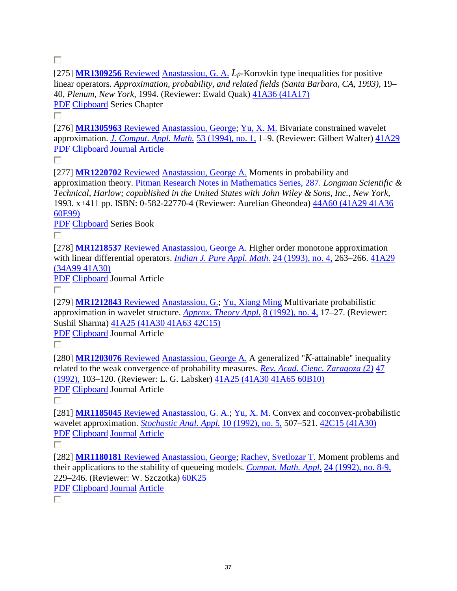П

[275] **MR1309256** Reviewed Anastassiou, G. A. *Lp*-Korovkin type inequalities for positive linear operators. *Approximation, probability, and related fields (Santa Barbara, CA, 1993),* 19– 40, *Plenum, New York,* 1994. (Reviewer: Ewald Quak) 41A36 (41A17) PDF Clipboard Series Chapter

П

[276] **MR1305963** Reviewed Anastassiou, George; Yu, X. M. Bivariate constrained wavelet approximation. *J. Comput. Appl. Math.* 53 (1994), no. 1, 1–9. (Reviewer: Gilbert Walter) 41A29 PDF Clipboard Journal Article

П

[277] **MR1220702** Reviewed Anastassiou, George A. Moments in probability and approximation theory. Pitman Research Notes in Mathematics Series, 287. *Longman Scientific & Technical, Harlow; copublished in the United States with John Wiley & Sons, Inc., New York,* 1993. x+411 pp. ISBN: 0-582-22770-4 (Reviewer: Aurelian Gheondea) 44A60 (41A29 41A36 60E99)

PDF Clipboard Series Book

П.

[278] MR1218537 Reviewed Anastassiou, George A. Higher order monotone approximation with linear differential operators. *Indian J. Pure Appl. Math.* 24 (1993), no. 4, 263–266. 41A29 (34A99 41A30)

PDF Clipboard Journal Article

П.

[279] **MR1212843** Reviewed Anastassiou, G.; Yu, Xiang Ming Multivariate probabilistic approximation in wavelet structure. *Approx. Theory Appl.* 8 (1992), no. 4, 17–27. (Reviewer: Sushil Sharma)  $\frac{41A25}{(41A30)41A63}$  42C15)

PDF Clipboard Journal Article

П

[280] **MR1203076** Reviewed Anastassiou, George A. A generalized "*K*-attainable'' inequality related to the weak convergence of probability measures. *Rev. Acad. Cienc. Zaragoza (2)* 47 (1992), 103–120. (Reviewer: L. G. Labsker) 41A25 (41A30 41A65 60B10) PDF Clipboard Journal Article

П.

[281] **MR1185045** Reviewed Anastassiou, G. A.; Yu, X. M. Convex and coconvex-probabilistic wavelet approximation. *Stochastic Anal. Appl.* 10 (1992), no. 5, 507–521. 42C15 (41A30) PDF Clipboard Journal Article

П.

[282] **MR1180181** Reviewed Anastassiou, George; Rachev, Svetlozar T. Moment problems and their applications to the stability of queueing models. *Comput. Math. Appl.* 24 (1992), no. 8-9, 229–246. (Reviewer: W. Szczotka) 60K25 PDF Clipboard Journal Article

П.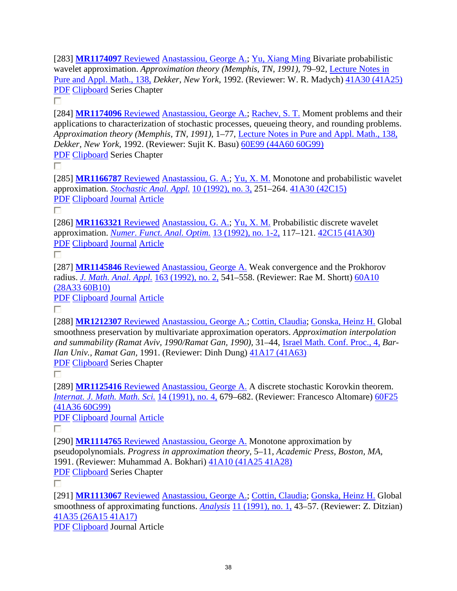[283] **MR1174097** Reviewed Anastassiou, George A.; Yu, Xiang Ming Bivariate probabilistic wavelet approximation. *Approximation theory (Memphis, TN, 1991),* 79–92, Lecture Notes in Pure and Appl. Math., 138, *Dekker, New York,* 1992. (Reviewer: W. R. Madych) 41A30 (41A25) PDF Clipboard Series Chapter

П

[284] **MR1174096** Reviewed Anastassiou, George A.; Rachev, S. T. Moment problems and their applications to characterization of stochastic processes, queueing theory, and rounding problems. *Approximation theory (Memphis, TN, 1991),* 1–77, Lecture Notes in Pure and Appl. Math., 138, *Dekker, New York,* 1992. (Reviewer: Sujit K. Basu) 60E99 (44A60 60G99) PDF Clipboard Series Chapter

П

[285] **MR1166787** Reviewed Anastassiou, G. A.; Yu, X. M. Monotone and probabilistic wavelet approximation. *Stochastic Anal. Appl.* 10 (1992), no. 3, 251–264. 41A30 (42C15) PDF Clipboard Journal Article

П.

[286] **MR1163321** Reviewed Anastassiou, G. A.; Yu, X. M. Probabilistic discrete wavelet approximation. *Numer. Funct. Anal. Optim.* 13 (1992), no. 1-2, 117–121. 42C15 (41A30) PDF Clipboard Journal Article

П

[287] **MR1145846** Reviewed Anastassiou, George A. Weak convergence and the Prokhorov radius. *J. Math. Anal. Appl.* 163 (1992), no. 2, 541–558. (Reviewer: Rae M. Shortt) 60A10 (28A33 60B10)

PDF Clipboard Journal Article

П

[288] **MR1212307** Reviewed Anastassiou, George A.; Cottin, Claudia; Gonska, Heinz H. Global smoothness preservation by multivariate approximation operators. *Approximation interpolation and summability (Ramat Aviv, 1990/Ramat Gan, 1990),* 31–44, Israel Math. Conf. Proc., 4, *Bar-Ilan Univ., Ramat Gan,* 1991. (Reviewer: Dinh Dung) 41A17 (41A63) PDF Clipboard Series Chapter

П

[289] **MR1125416** Reviewed Anastassiou, George A. A discrete stochastic Korovkin theorem. *Internat. J. Math. Math. Sci.* 14 (1991), no. 4, 679–682. (Reviewer: Francesco Altomare) 60F25 (41A36 60G99)

PDF Clipboard Journal Article

П.

[290] **MR1114765** Reviewed Anastassiou, George A. Monotone approximation by pseudopolynomials. *Progress in approximation theory,* 5–11, *Academic Press, Boston, MA,* 1991. (Reviewer: Muhammad A. Bokhari) 41A10 (41A25 41A28) PDF Clipboard Series Chapter

П

[291] **MR1113067** Reviewed Anastassiou, George A.; Cottin, Claudia; Gonska, Heinz H. Global smoothness of approximating functions. *Analysis* 11 (1991), no. 1, 43–57. (Reviewer: Z. Ditzian) 41A35 (26A15 41A17)

PDF Clipboard Journal Article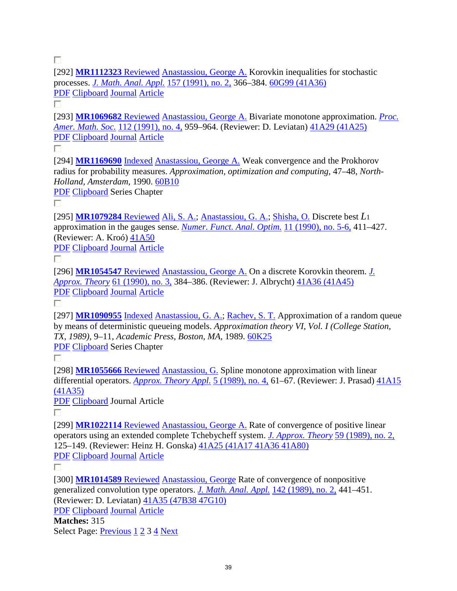П

[292] **MR1112323** Reviewed Anastassiou, George A. Korovkin inequalities for stochastic processes. *J. Math. Anal. Appl.* 157 (1991), no. 2, 366–384. 60G99 (41A36) PDF Clipboard Journal Article

П.

[293] **MR1069682** Reviewed Anastassiou, George A. Bivariate monotone approximation. *Proc. Amer. Math. Soc.* 112 (1991), no. 4, 959–964. (Reviewer: D. Leviatan) 41A29 (41A25) PDF Clipboard Journal Article

П.

[294] **MR1169690** Indexed Anastassiou, George A. Weak convergence and the Prokhorov radius for probability measures. *Approximation, optimization and computing,* 47–48, *North-Holland, Amsterdam,* 1990. 60B10

PDF Clipboard Series Chapter

П

[295] **MR1079284** Reviewed Ali, S. A.; Anastassiou, G. A.; Shisha, O. Discrete best *L*<sup>1</sup> approximation in the gauges sense. *Numer. Funct. Anal. Optim.* 11 (1990), no. 5-6, 411–427. (Reviewer: A. Kroó) 41A50

PDF Clipboard Journal Article

П.

[296] **MR1054547** Reviewed Anastassiou, George A. On a discrete Korovkin theorem. *J. Approx. Theory* 61 (1990), no. 3, 384–386. (Reviewer: J. Albrycht) 41A36 (41A45) PDF Clipboard Journal Article

П.

[297] **MR1090955** Indexed Anastassiou, G. A.; Rachev, S. T. Approximation of a random queue by means of deterministic queueing models. *Approximation theory VI, Vol. I (College Station, TX, 1989),* 9–11, *Academic Press, Boston, MA,* 1989. 60K25 PDF Clipboard Series Chapter

П.

[298] **MR1055666** Reviewed Anastassiou, G. Spline monotone approximation with linear differential operators. *Approx. Theory Appl.* 5 (1989), no. 4, 61–67. (Reviewer: J. Prasad) 41A15 (41A35)

PDF Clipboard Journal Article

П.

[299] **MR1022114** Reviewed Anastassiou, George A. Rate of convergence of positive linear operators using an extended complete Tchebycheff system. *J. Approx. Theory* 59 (1989), no. 2, 125–149. (Reviewer: Heinz H. Gonska) 41A25 (41A17 41A36 41A80) PDF Clipboard Journal Article

П

[300] **MR1014589** Reviewed Anastassiou, George Rate of convergence of nonpositive generalized convolution type operators. *J. Math. Anal. Appl.* 142 (1989), no. 2, 441–451. (Reviewer: D. Leviatan) 41A35 (47B38 47G10)

PDF Clipboard Journal Article

**Matches:** 315 Select Page: Previous 1 2 3 4 Next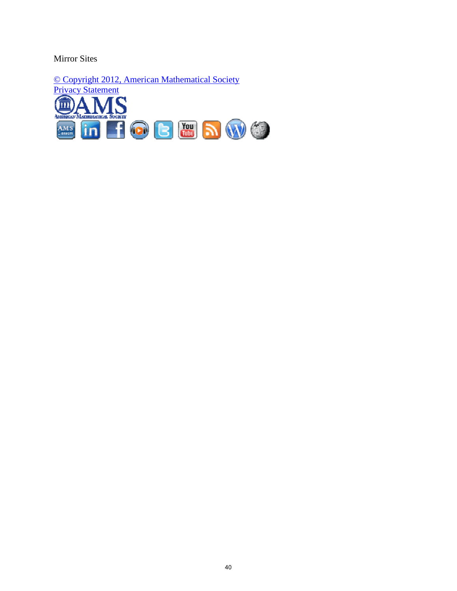Mirror Sites

© Copyright 2012, American Mathematical Society **Privacy Statement**  $\bm S$ 血 Δ **MAS** in FOB HOM A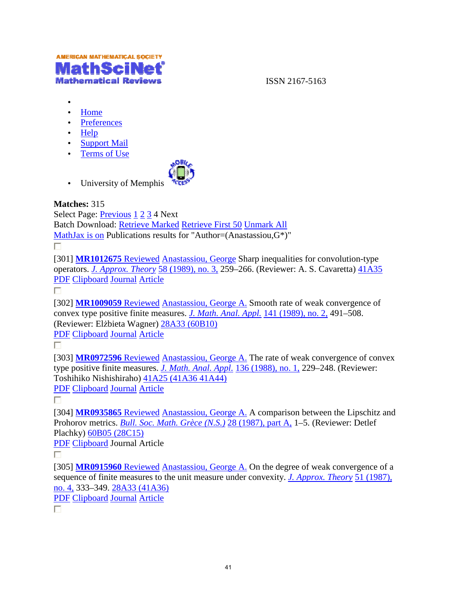

ISSN 2167-5163

- •
- Home
- Preferences
- Help
- Support Mail
- Terms of Use



• University of Memphis

#### **Matches:** 315

Select Page: *Previous* 1 2 3 4 Next Batch Download: *Retrieve Marked Retrieve First 50 Unmark All* MathJax is on Publications results for "Author=(Anastassiou, $G^*$ )"

П.

MathJax is on Publications results for "Author=(Anastassiou,G\*)"<br>
<br>[301] **MR1012675** Reviewed Anastassiou, George Sharp inequalities for convolution-type operators. *J. Approx. Theory* 58 (1989), no. 3, 259–266. (Reviewer: A. S. Cavaretta)  $41A35$ PDF Clipboard Journal Article

П.

[302] **MR1009059** Reviewed Anastassiou, George A. Smooth rate of weak convergence of [302] **MR1009059** Reviewed Anastassiou, George A. Smooth rate of weak convergenc convex type positive finite measures. *J. Math. Anal. Appl.* 141 (1989), no. 2, 491–508. (Reviewer: Elżbieta Wagner) 28A33 (60B10)

PDF Clipboard Journal Article

П

[303] **MR0972596** Reviewed Anastassiou, George A. The rate of weak convergence of convex type positive finite measures. *J. Math. Anal. Appl.* 136 (1988), no. 1, 229–248. (Reviewer: Toshihiko Nishishiraho) 41A25 (41A36 41A44)

PDF Clipboard Journal Article

П

[304] **MR0935865** Reviewed Anastassiou, George A. A comparison between the Lipschitz and Prohorov metrics. *Bull. Soc. Math. Grèce (N.S.)* 28 (1987), part A, 1–5. (Reviewer: Detlef Plachky) 60B05 (28C15) convergence of convex<br>
<u>no. 1</u>, 229–248. (Reviewer:<br>
arison between the Lipschitz and<br>
arison between the Lipschitz and<br>
<u>t A</u>, 1–5. (Reviewer: Detlef<br>
degree of weak convergence of a

PDF Clipboard Journal Article

п

[305] **MR0915960** Reviewed Anastassiou, George A. On the degree of weak convergence of a sequence of finite measures to the unit measure under convexity. *J. Approx. Theory* 51 (1987), no. 4, 333–349. 28A33 (41A36)

PDF Clipboard Journal Article

П.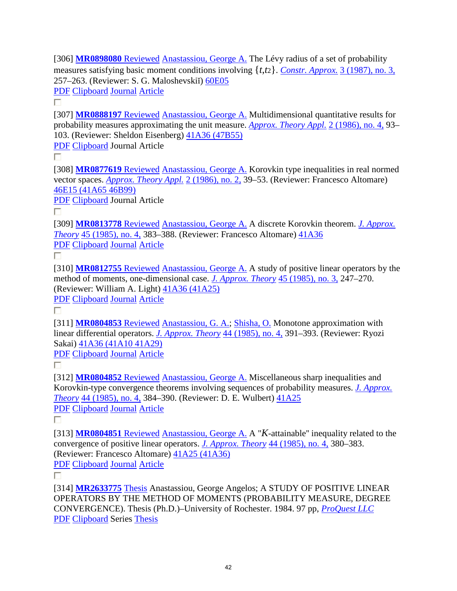[306] **MR0898080** Reviewed Anastassiou, George A. The Lévy radius of a set of probability measures satisfying basic moment conditions involving {*t*,*t*2}. *Constr. Approx.* 3 (1987), no. 3, 257–263. (Reviewer: S. G. Maloshevskiĭ) 60E05 PDF Clipboard Journal Article

П.

[307] **MR0888197** Reviewed Anastassiou, George A. Multidimensional quantitative results for probability measures approximating the unit measure. *Approx. Theory Appl.* 2 (1986), no. 4, 93– 103. (Reviewer: Sheldon Eisenberg) 41A36 (47B55)

PDF Clipboard Journal Article

П.

[308] **MR0877619** Reviewed Anastassiou, George A. Korovkin type inequalities in real normed vector spaces. *Approx. Theory Appl.* 2 (1986), no. 2, 39–53. (Reviewer: Francesco Altomare) 46E15 (41A65 46B99)

PDF Clipboard Journal Article

П.

[309] **MR0813778** Reviewed Anastassiou, George A. A discrete Korovkin theorem. *J. Approx. Theory* 45 (1985), no. 4, 383–388. (Reviewer: Francesco Altomare) 41A36 PDF Clipboard Journal Article

П

[310] **MR0812755** Reviewed Anastassiou, George A. A study of positive linear operators by the method of moments, one-dimensional case. *J. Approx. Theory* 45 (1985), no. 3, 247–270. (Reviewer: William A. Light) 41A36 (41A25)

PDF Clipboard Journal Article

П

[311] **MR0804853** Reviewed Anastassiou, G. A.; Shisha, O. Monotone approximation with linear differential operators. *J. Approx. Theory* 44 (1985), no. 4, 391–393. (Reviewer: Ryozi Sakai) 41A36 (41A10 41A29)

PDF Clipboard Journal Article

П.

[312] **MR0804852** Reviewed Anastassiou, George A. Miscellaneous sharp inequalities and Korovkin-type convergence theorems involving sequences of probability measures. *J. Approx. Theory* 44 (1985), no. 4, 384–390. (Reviewer: D. E. Wulbert) 41A25 PDF Clipboard Journal Article

П.

[313] **MR0804851** Reviewed Anastassiou, George A. A "*K*-attainable'' inequality related to the convergence of positive linear operators. *J. Approx. Theory* 44 (1985), no. 4, 380–383. (Reviewer: Francesco Altomare) 41A25 (41A36) PDF Clipboard Journal Article

П

[314] **MR2633775** Thesis Anastassiou, George Angelos; A STUDY OF POSITIVE LINEAR OPERATORS BY THE METHOD OF MOMENTS (PROBABILITY MEASURE, DEGREE CONVERGENCE). Thesis (Ph.D.)–University of Rochester. 1984. 97 pp, *ProQuest LLC* PDF Clipboard Series Thesis